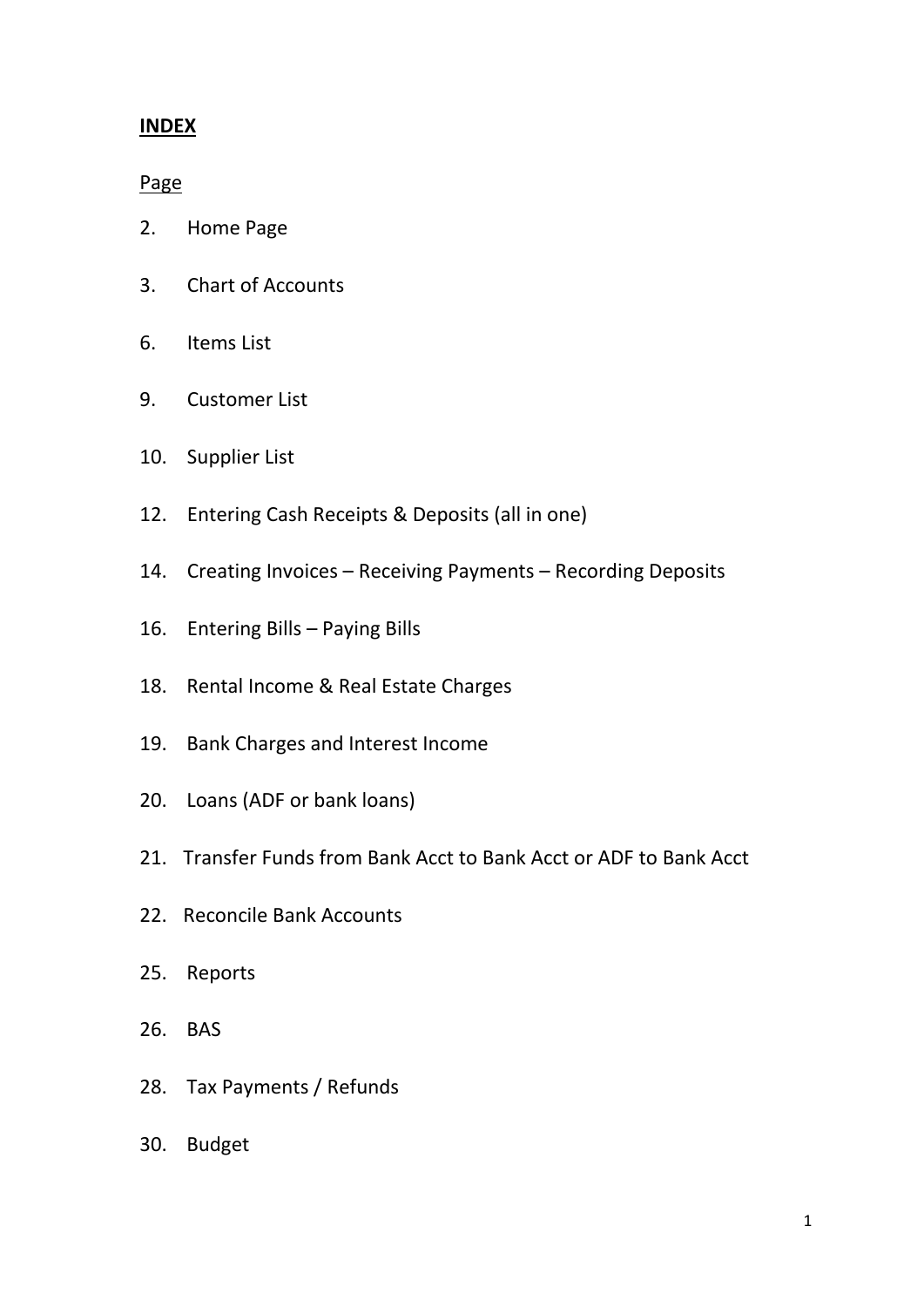## **INDEX**

Page

- 2. Home Page
- 3. Chart of Accounts
- 6. Items List
- 9. Customer List
- 10. Supplier List
- 12. Entering Cash Receipts & Deposits (all in one)
- 14. Creating Invoices Receiving Payments Recording Deposits
- 16. Entering Bills Paying Bills
- 18. Rental Income & Real Estate Charges
- 19. Bank Charges and Interest Income
- 20. Loans (ADF or bank loans)
- 21. Transfer Funds from Bank Acct to Bank Acct or ADF to Bank Acct
- 22. Reconcile Bank Accounts
- 25. Reports
- 26. BAS
- 28. Tax Payments / Refunds
- 30. Budget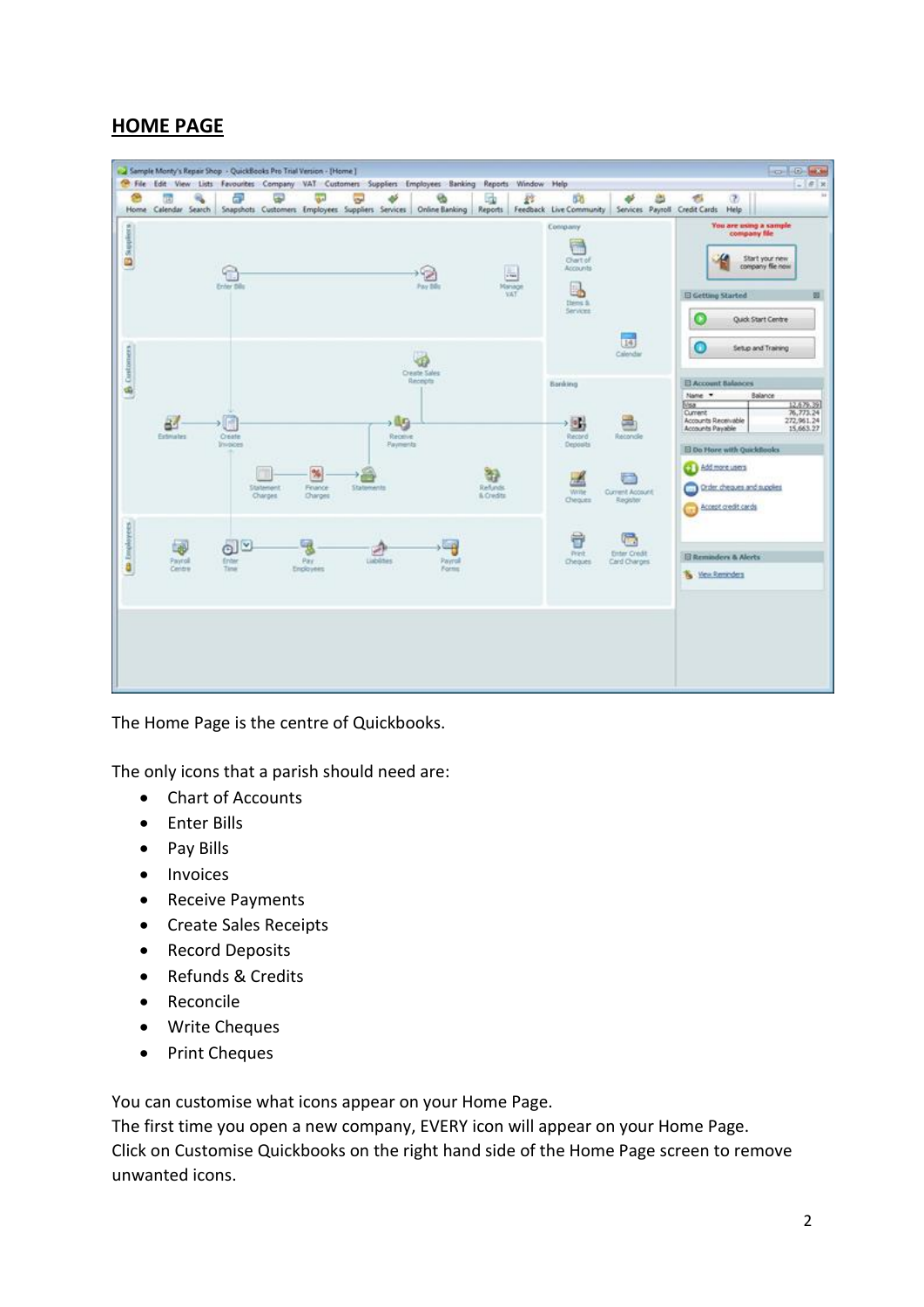# **HOME PAGE**



The Home Page is the centre of Quickbooks.

The only icons that a parish should need are:

- Chart of Accounts
- Enter Bills
- Pay Bills
- Invoices
- Receive Payments
- Create Sales Receipts
- Record Deposits
- Refunds & Credits
- Reconcile
- Write Cheques
- Print Cheques

You can customise what icons appear on your Home Page.

The first time you open a new company, EVERY icon will appear on your Home Page. Click on Customise Quickbooks on the right hand side of the Home Page screen to remove unwanted icons.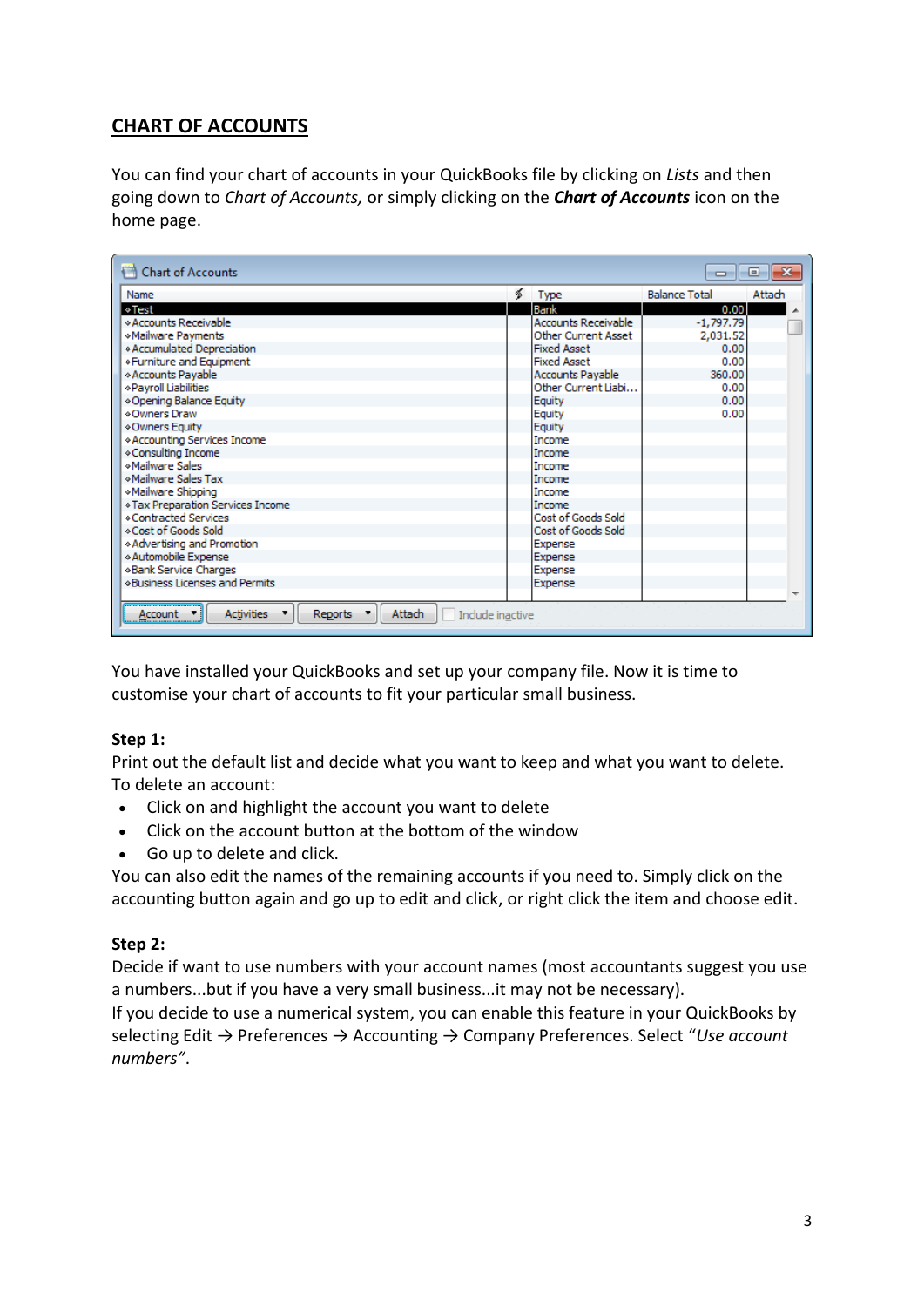# **CHART OF ACCOUNTS**

You can find your chart of accounts in your QuickBooks file by clicking on *Lists* and then going down to *Chart of Accounts,* or simply clicking on the *Chart of Accounts* icon on the home page.

| <b>Chart of Accounts</b>                                                     |   |                            | -                    | $\mathbf{x}$<br>▣ |
|------------------------------------------------------------------------------|---|----------------------------|----------------------|-------------------|
| Name                                                                         | ≼ | <b>Type</b>                | <b>Balance Total</b> | Attach            |
| ∻Test                                                                        |   | Bank                       | 0.00                 |                   |
| ◇ Accounts Receivable                                                        |   | <b>Accounts Receivable</b> | $-1,797.79$          |                   |
| *Mailware Payments                                                           |   | Other Current Asset        | 2,031.52             |                   |
| * Accumulated Depreciation                                                   |   | <b>Fixed Asset</b>         | 0.00                 |                   |
| «Furniture and Equipment                                                     |   | <b>Fixed Asset</b>         | 0.00                 |                   |
| * Accounts Payable                                                           |   | <b>Accounts Payable</b>    | 360.00               |                   |
| «Payroll Liabilities                                                         |   | Other Current Liabi        | 0.00                 |                   |
| * Opening Balance Equity                                                     |   | Equity                     | 0.00                 |                   |
| ⊙Owners Draw                                                                 |   | Equity                     | 0.00                 |                   |
| ◆ Owners Equity                                                              |   | Equity                     |                      |                   |
| * Accounting Services Income                                                 |   | <b>Income</b>              |                      |                   |
| * Consulting Income                                                          |   | Income                     |                      |                   |
| «Mailware Sales                                                              |   | Income                     |                      |                   |
| «Mailware Sales Tax                                                          |   | Income                     |                      |                   |
| «Mailware Shipping                                                           |   | Income                     |                      |                   |
| * Tax Preparation Services Income                                            |   | Income                     |                      |                   |
| *Contracted Services                                                         |   | Cost of Goods Sold         |                      |                   |
| ◇ Cost of Goods Sold                                                         |   | Cost of Goods Sold         |                      |                   |
| ◆ Advertising and Promotion                                                  |   | Expense                    |                      |                   |
| « Automobile Expense                                                         |   | Expense                    |                      |                   |
| *Bank Service Charges                                                        |   | Expense                    |                      |                   |
| <b>Eusiness Licenses and Permits</b>                                         |   | Expense                    |                      |                   |
|                                                                              |   |                            |                      |                   |
| Attach<br><b>Activities</b><br><b>Reports</b><br>Include inactive<br>Account |   |                            |                      |                   |

You have installed your QuickBooks and [set up your company file.](http://www.smallbizaccountingsoftware.com/how-to-use-quickbooks.html) Now it is time to customise your chart of accounts to fit your particular small business.

## **Step 1:**

Print out the default list and decide what you want to keep and what you want to delete. To delete an account:

- Click on and highlight the account you want to delete
- Click on the account button at the bottom of the window
- Go up to delete and click.

You can also edit the names of the remaining accounts if you need to. Simply click on the accounting button again and go up to edit and click, or right click the item and choose edit.

## **Step 2:**

Decide if want to use numbers with your account names (most accountants suggest you use a numbers...but if you have a very small business...it may not be necessary).

If you decide to use a numerical system, you can enable this feature in your QuickBooks by selecting Edit → Preferences → Accounting → Company Preferences. Select "*Use account numbers"*.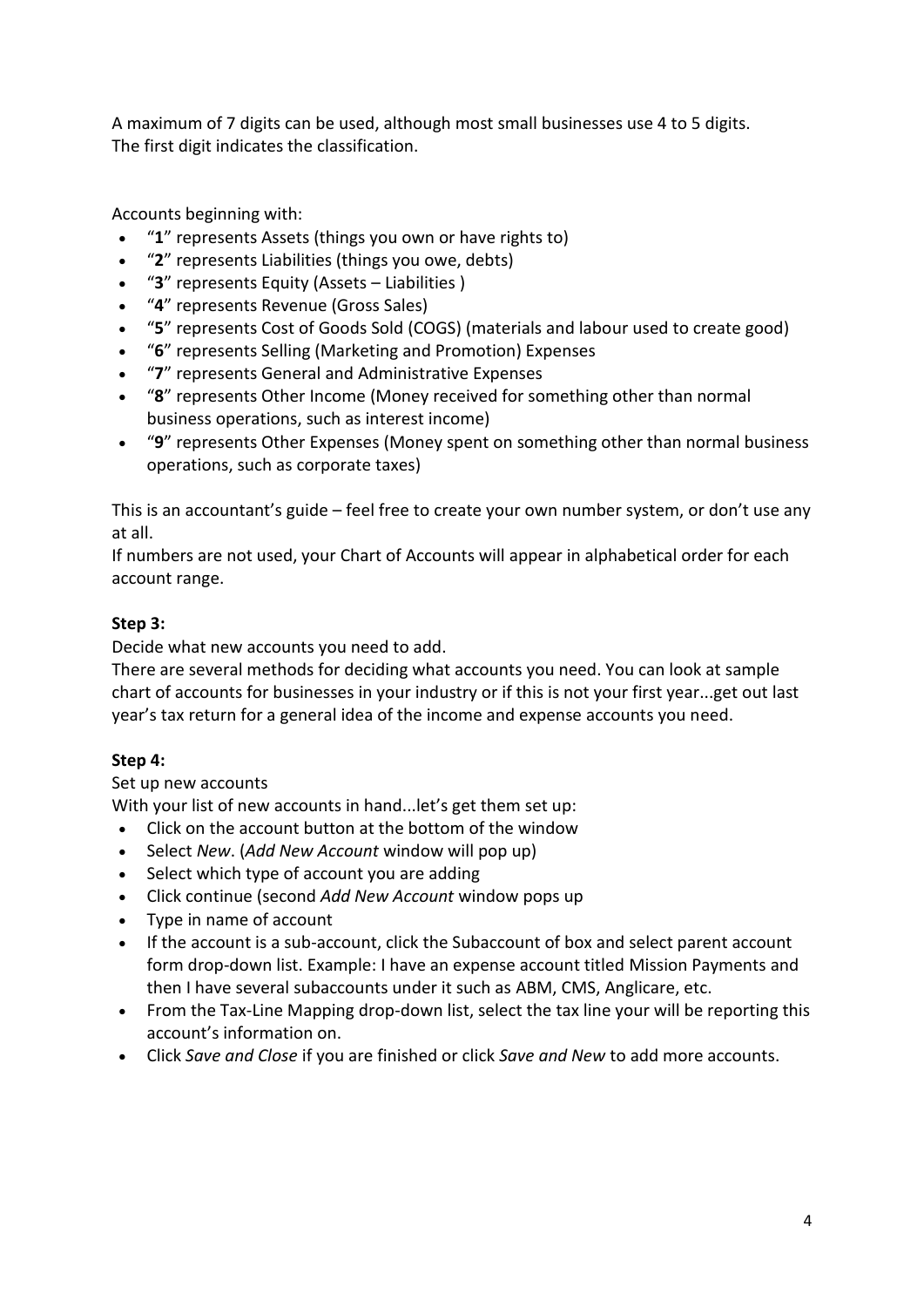A maximum of 7 digits can be used, although most small businesses use 4 to 5 digits. The first digit indicates the classification.

Accounts beginning with:

- "**1**" represents Assets (things you own or have rights to)
- "**2**" represents Liabilities (things you owe, debts)
- "**3**" represents Equity (Assets Liabilities )
- "**4**" represents Revenue (Gross Sales)
- "**5**" represents Cost of Goods Sold (COGS) (materials and labour used to create good)
- "**6**" represents Selling (Marketing and Promotion) Expenses
- "**7**" represents General and Administrative Expenses
- "**8**" represents Other Income (Money received for something other than normal business operations, such as interest income)
- "**9**" represents Other Expenses (Money spent on something other than normal business operations, such as corporate taxes)

This is an accountant's guide – feel free to create your own number system, or don't use any at all.

If numbers are not used, your Chart of Accounts will appear in alphabetical order for each account range.

## **Step 3:**

Decide what new accounts you need to add.

There are several methods for deciding what accounts you need. You can look at sample chart of accounts for businesses in your industry or if this is not your first year...get out last year's tax return for a general idea of the income and expense accounts you need.

## **Step 4:**

Set up new accounts

With your list of new accounts in hand...let's get them set up:

- Click on the account button at the bottom of the window
- Select *New*. (*Add New Account* window will pop up)
- Select which type of account you are adding
- Click continue (second *Add New Account* window pops up
- Type in name of account
- If the account is a sub-account, click the Subaccount of box and select parent account form drop-down list. Example: I have an expense account titled Mission Payments and then I have several subaccounts under it such as ABM, CMS, Anglicare, etc.
- From the Tax-Line Mapping drop-down list, select the tax line your will be reporting this account's information on.
- Click *Save and Close* if you are finished or click *Save and New* to add more accounts.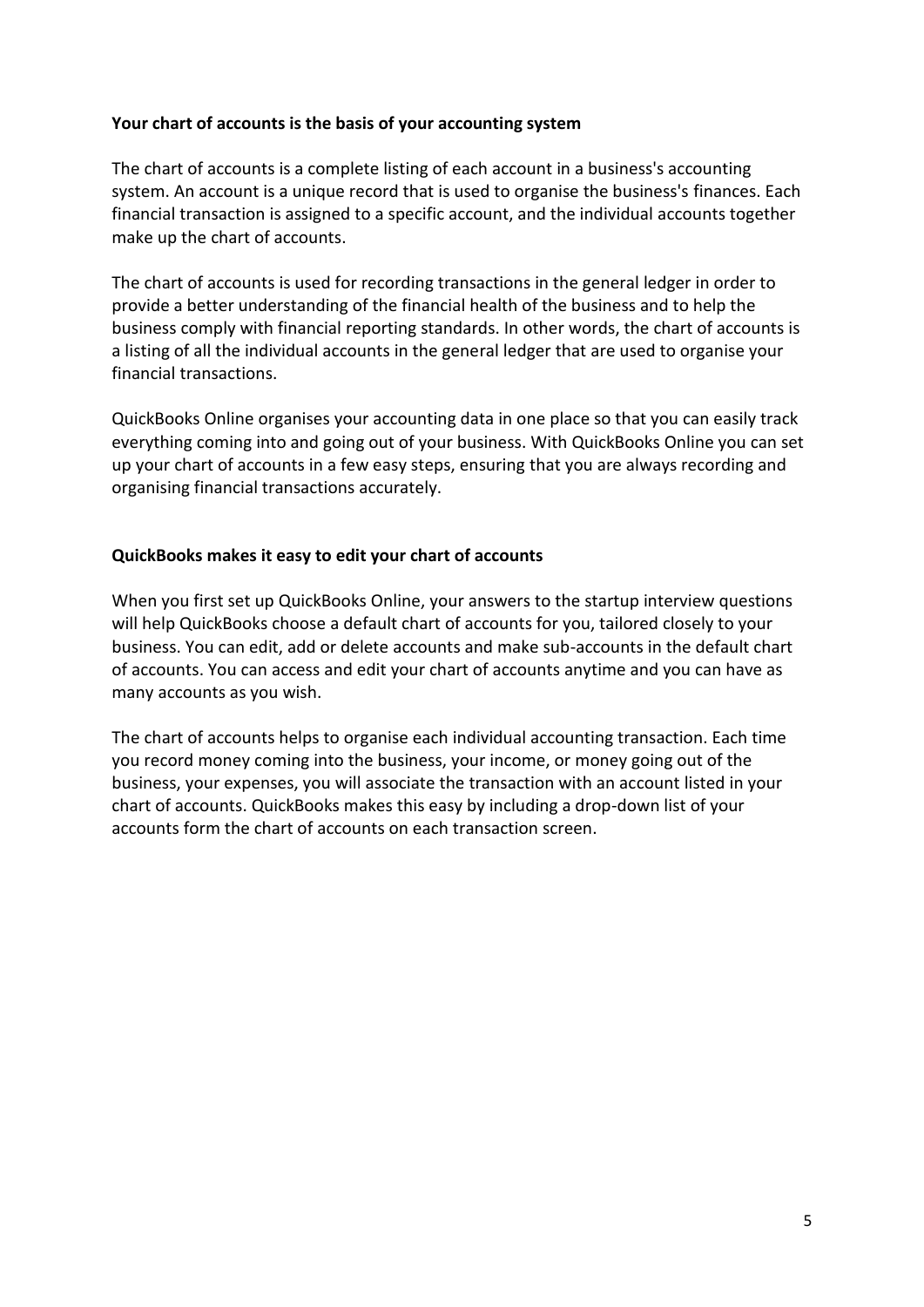### **Your chart of accounts is the basis of your accounting system**

The chart of accounts is a complete listing of each account in a business's accounting system. An account is a unique record that is used to organise the business's finances. Each financial transaction is assigned to a specific account, and the individual accounts together make up the chart of accounts.

The chart of accounts is used for recording transactions in the general ledger in order to provide a better understanding of the financial health of the business and to help the business comply with financial reporting standards. In other words, the chart of accounts is a listing of all the individual accounts in the general ledger that are used to organise your financial transactions.

QuickBooks Online organises your accounting data in one place so that you can easily track everything coming into and going out of your business. With QuickBooks Online you can set up your chart of accounts in a few easy steps, ensuring that you are always recording and organising financial transactions accurately.

### **QuickBooks makes it easy to edit your chart of accounts**

When you first set up QuickBooks Online, your answers to the startup interview questions will help QuickBooks choose a default chart of accounts for you, tailored closely to your business. You can edit, add or delete accounts and make sub-accounts in the default chart of accounts. You can access and edit your chart of accounts anytime and you can have as many accounts as you wish.

The chart of accounts helps to organise each individual accounting transaction. Each time you record money coming into the business, your income, or money going out of the business, your expenses, you will associate the transaction with an account listed in your chart of accounts. QuickBooks makes this easy by including a drop-down list of your accounts form the chart of accounts on each transaction screen.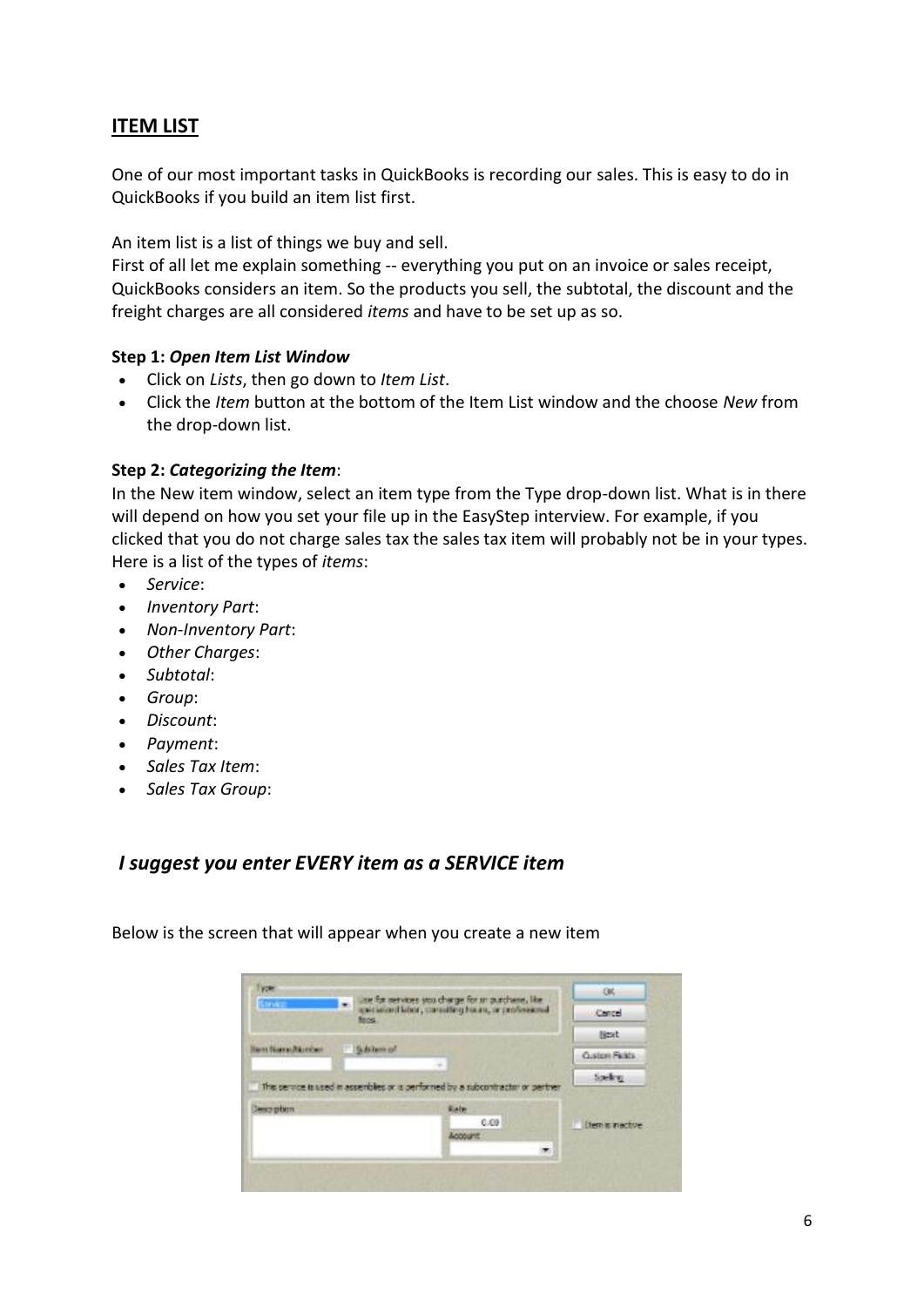# **ITEM LIST**

One of our most important tasks in QuickBooks is recording our sales. This is easy to do in QuickBooks if you build an item list first.

An item list is a list of things we buy and sell.

First of all let me explain something -- everything you put on an invoice or sales receipt, QuickBooks considers an item. So the products you sell, the subtotal, the discount and the freight charges are all considered *items* and have to be set up as so.

### **Step 1:** *Open Item List Window*

- Click on *Lists*, then go down to *Item List*.
- Click the *Item* button at the bottom of the Item List window and the choose *New* from the drop-down list.

### **Step 2:** *Categorizing the Item*:

In the New item window, select an item type from the Type drop-down list. What is in there will depend on how you set your file up in the EasyStep interview. For example, if you clicked that you do not charge sales tax the sales tax item will probably not be in your types. Here is a list of the types of *items*:

- *Service*:
- *Inventory Part*:
- *Non-Inventory Part*:
- *Other Charges*:
- *Subtotal*:
- *Group*:
- *Discount*:
- *Payment*:
- *Sales Tax Item*:
- *Sales Tax Group*:

## *I suggest you enter EVERY item as a SERVICE item*

Below is the screen that will appear when you create a new item

| Type:<br>use for services you charge for m purchase. Her<br>÷<br>director.<br>existing Habor, consulting hours, or professional<br>focs. |           | <b>GIO</b>                                                                       |                            |
|------------------------------------------------------------------------------------------------------------------------------------------|-----------|----------------------------------------------------------------------------------|----------------------------|
|                                                                                                                                          |           |                                                                                  | Cancel                     |
|                                                                                                                                          |           |                                                                                  | <b>Besit</b>               |
| <b>Ben Bare/Arriver</b>                                                                                                                  | Schlam of | ×                                                                                | <b>Quatchi Ficida</b>      |
|                                                                                                                                          |           |                                                                                  | Speling.                   |
|                                                                                                                                          |           | This service is used in assembles or is performed by a subcontractor or pertner. |                            |
| less plan                                                                                                                                |           | Rate<br>0.09                                                                     |                            |
|                                                                                                                                          |           |                                                                                  | <b>If them is inactive</b> |
|                                                                                                                                          |           | ÷                                                                                |                            |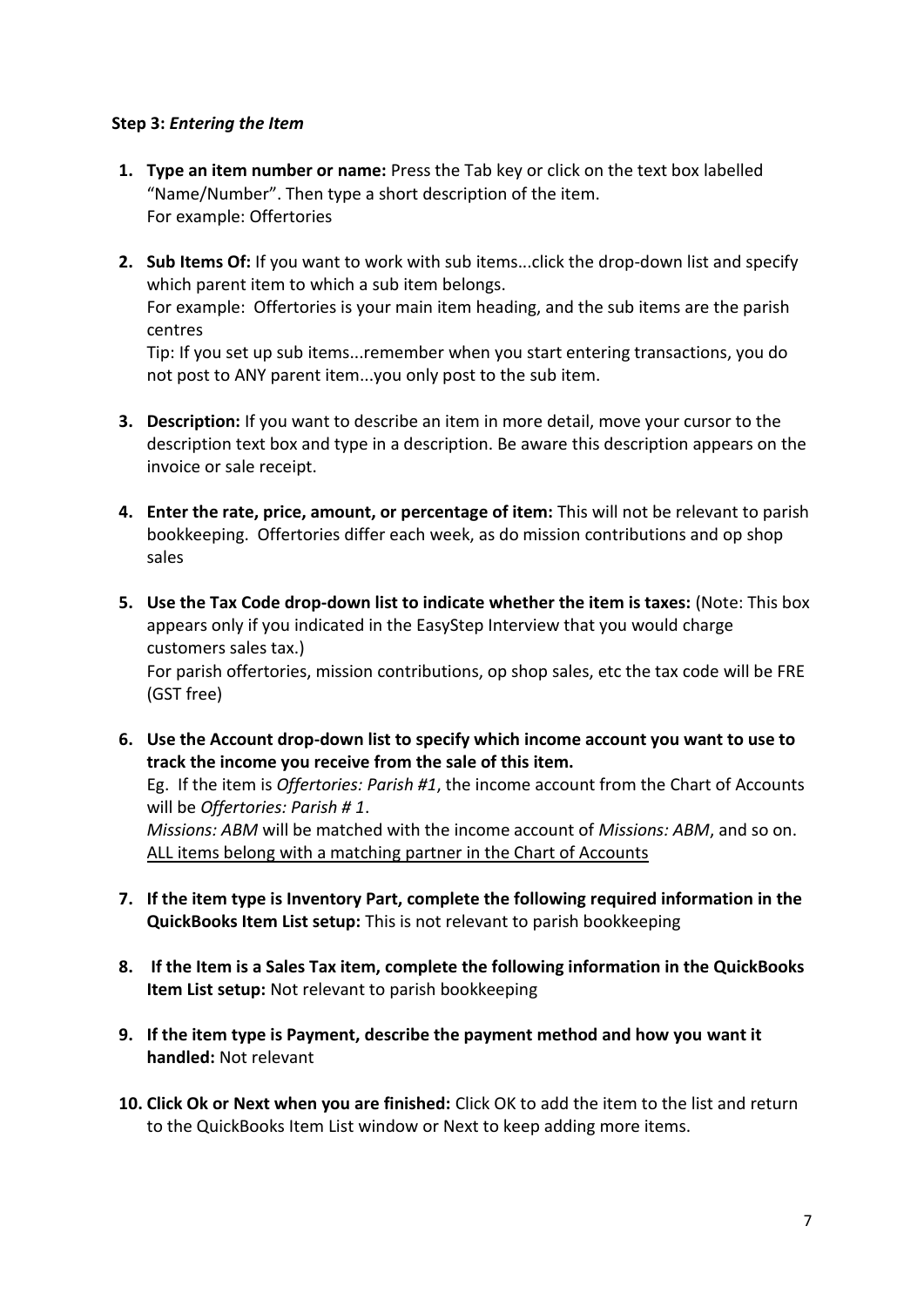### **Step 3:** *Entering the Item*

- **1. Type an item number or name:** Press the Tab key or click on the text box labelled "Name/Number". Then type a short description of the item. For example: Offertories
- **2. Sub Items Of:** If you want to work with sub items...click the drop-down list and specify which parent item to which a sub item belongs. For example: Offertories is your main item heading, and the sub items are the parish centres Tip: If you set up sub items...remember when you start entering transactions, you do

not post to ANY parent item...you only post to the sub item.

- **3. Description:** If you want to describe an item in more detail, move your cursor to the description text box and type in a description. Be aware this description appears on the invoice or sale receipt.
- **4. Enter the rate, price, amount, or percentage of item:** This will not be relevant to parish bookkeeping. Offertories differ each week, as do mission contributions and op shop sales
- **5. Use the Tax Code drop-down list to indicate whether the item is taxes:** (Note: This box appears only if you indicated in the EasyStep Interview that you would charge customers sales tax.) For parish offertories, mission contributions, op shop sales, etc the tax code will be FRE (GST free)
- **6. Use the Account drop-down list to specify which income account you want to use to track the income you receive from the sale of this item.** Eg. If the item is *Offertories: Parish #1*, the income account from the Chart of Accounts will be *Offertories: Parish # 1*. *Missions: ABM* will be matched with the income account of *Missions: ABM*, and so on. ALL items belong with a matching partner in the Chart of Accounts
- **7. If the item type is Inventory Part, complete the following required information in the QuickBooks Item List setup:** This is not relevant to parish bookkeeping
- **8. If the Item is a Sales Tax item, complete the following information in the QuickBooks Item List setup:** Not relevant to parish bookkeeping
- **9. If the item type is Payment, describe the payment method and how you want it handled:** Not relevant
- **10. Click Ok or Next when you are finished:** Click OK to add the item to the list and return to the QuickBooks Item List window or Next to keep adding more items.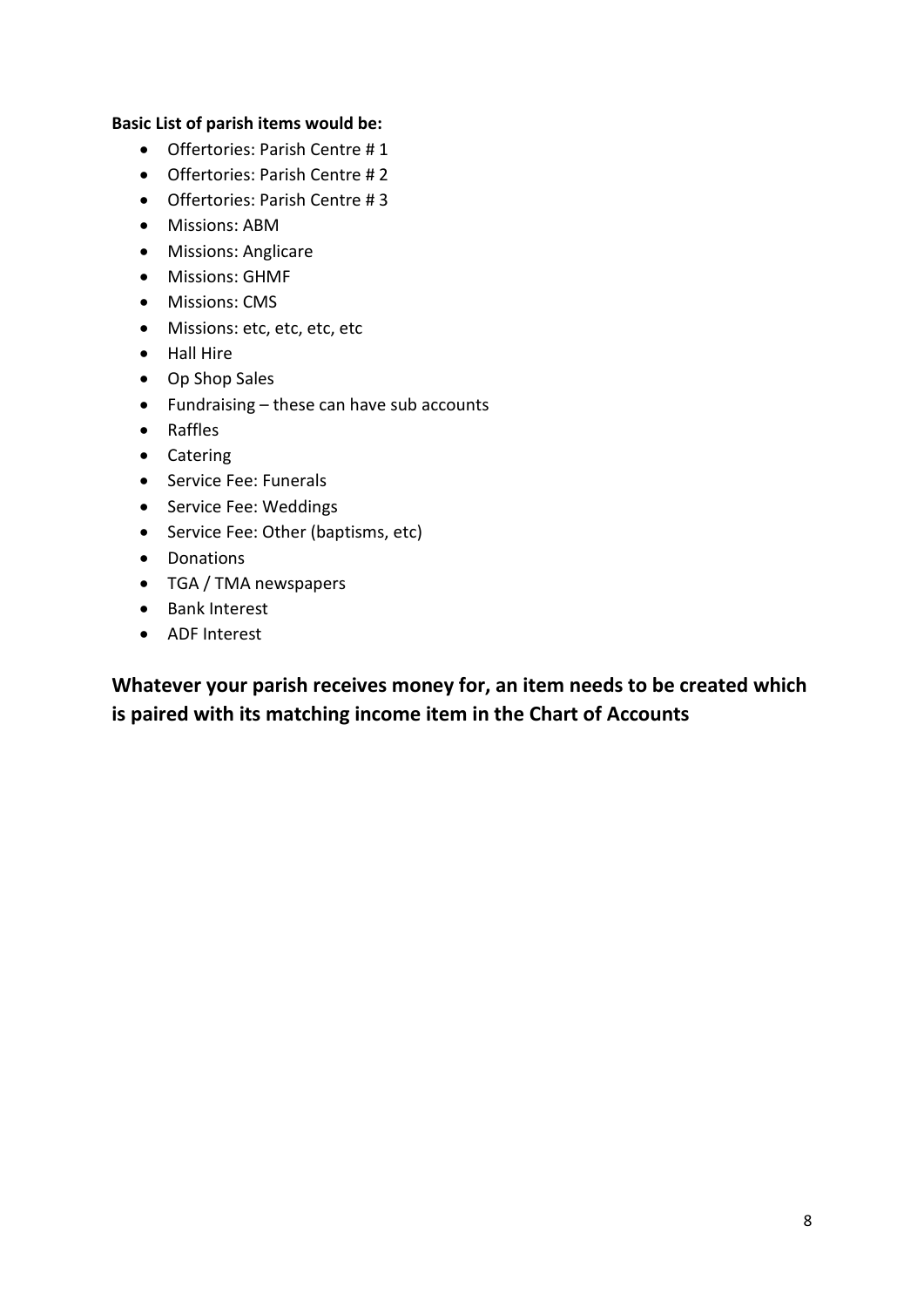#### **Basic List of parish items would be:**

- Offertories: Parish Centre # 1
- Offertories: Parish Centre # 2
- Offertories: Parish Centre # 3
- Missions: ABM
- Missions: Anglicare
- Missions: GHMF
- Missions: CMS
- Missions: etc, etc, etc, etc
- Hall Hire
- Op Shop Sales
- Fundraising these can have sub accounts
- Raffles
- Catering
- Service Fee: Funerals
- Service Fee: Weddings
- Service Fee: Other (baptisms, etc)
- Donations
- TGA / TMA newspapers
- Bank Interest
- ADF Interest

**Whatever your parish receives money for, an item needs to be created which is paired with its matching income item in the Chart of Accounts**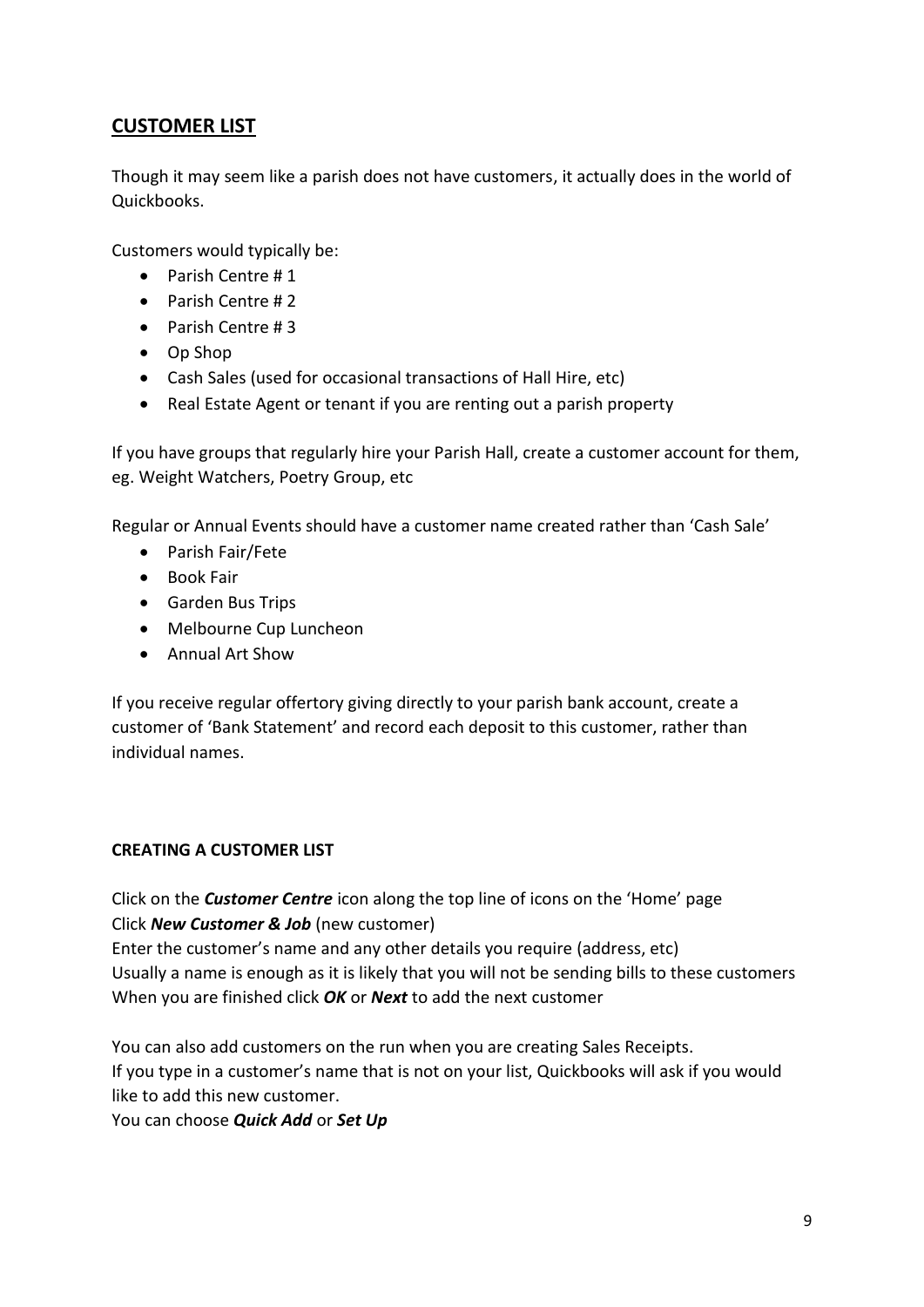# **CUSTOMER LIST**

Though it may seem like a parish does not have customers, it actually does in the world of Quickbooks.

Customers would typically be:

- Parish Centre # 1
- Parish Centre # 2
- Parish Centre # 3
- Op Shop
- Cash Sales (used for occasional transactions of Hall Hire, etc)
- Real Estate Agent or tenant if you are renting out a parish property

If you have groups that regularly hire your Parish Hall, create a customer account for them, eg. Weight Watchers, Poetry Group, etc

Regular or Annual Events should have a customer name created rather than 'Cash Sale'

- Parish Fair/Fete
- Book Fair
- Garden Bus Trips
- Melbourne Cup Luncheon
- Annual Art Show

If you receive regular offertory giving directly to your parish bank account, create a customer of 'Bank Statement' and record each deposit to this customer, rather than individual names.

#### **CREATING A CUSTOMER LIST**

Click on the *Customer Centre* icon along the top line of icons on the 'Home' page Click *New Customer & Job* (new customer) Enter the customer's name and any other details you require (address, etc) Usually a name is enough as it is likely that you will not be sending bills to these customers When you are finished click *OK* or *Next* to add the next customer

You can also add customers on the run when you are creating Sales Receipts. If you type in a customer's name that is not on your list, Quickbooks will ask if you would like to add this new customer.

You can choose *Quick Add* or *Set Up*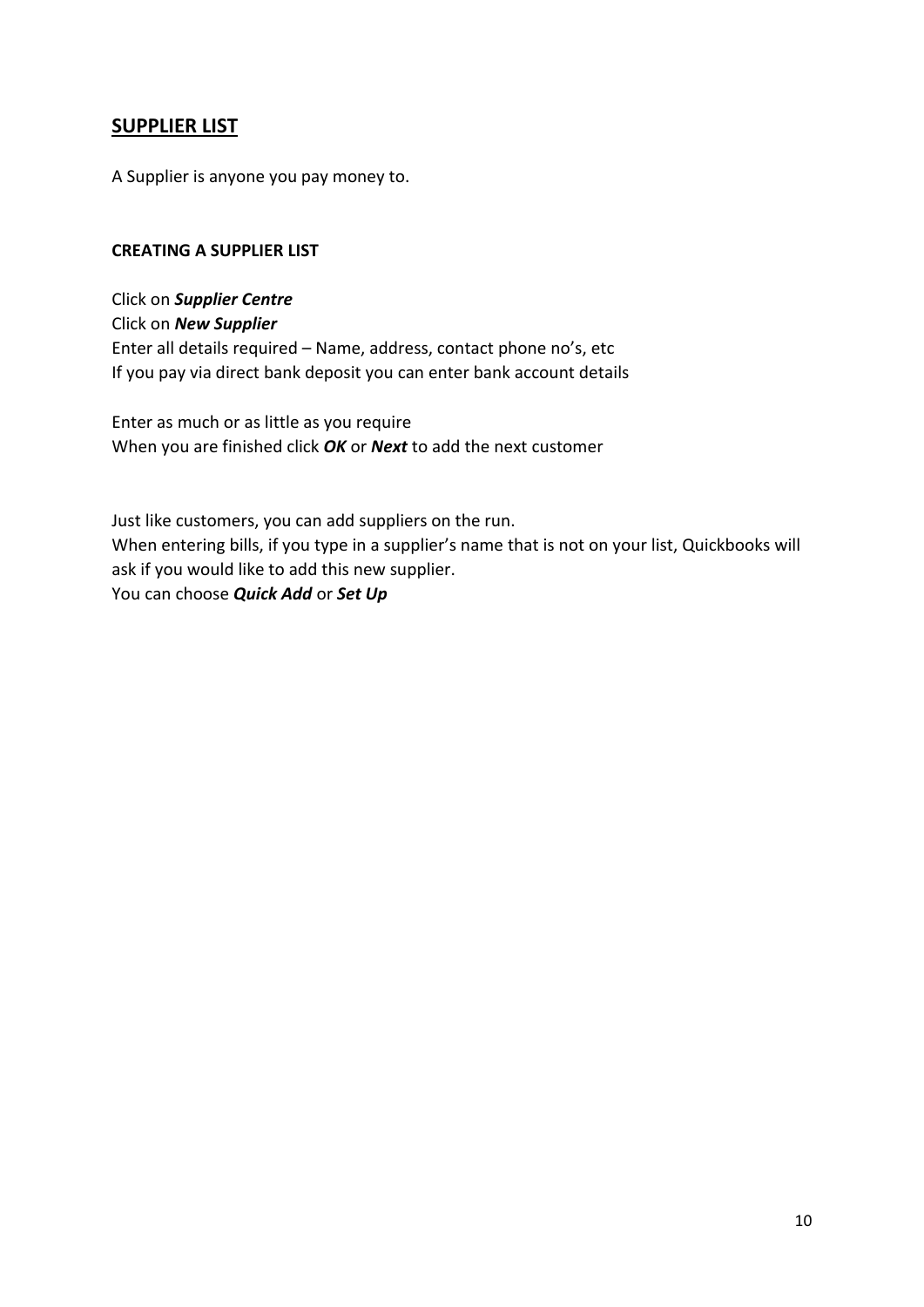## **SUPPLIER LIST**

A Supplier is anyone you pay money to.

### **CREATING A SUPPLIER LIST**

Click on *Supplier Centre* Click on *New Supplier* Enter all details required – Name, address, contact phone no's, etc If you pay via direct bank deposit you can enter bank account details

Enter as much or as little as you require When you are finished click *OK* or *Next* to add the next customer

Just like customers, you can add suppliers on the run. When entering bills, if you type in a supplier's name that is not on your list, Quickbooks will ask if you would like to add this new supplier. You can choose *Quick Add* or *Set Up*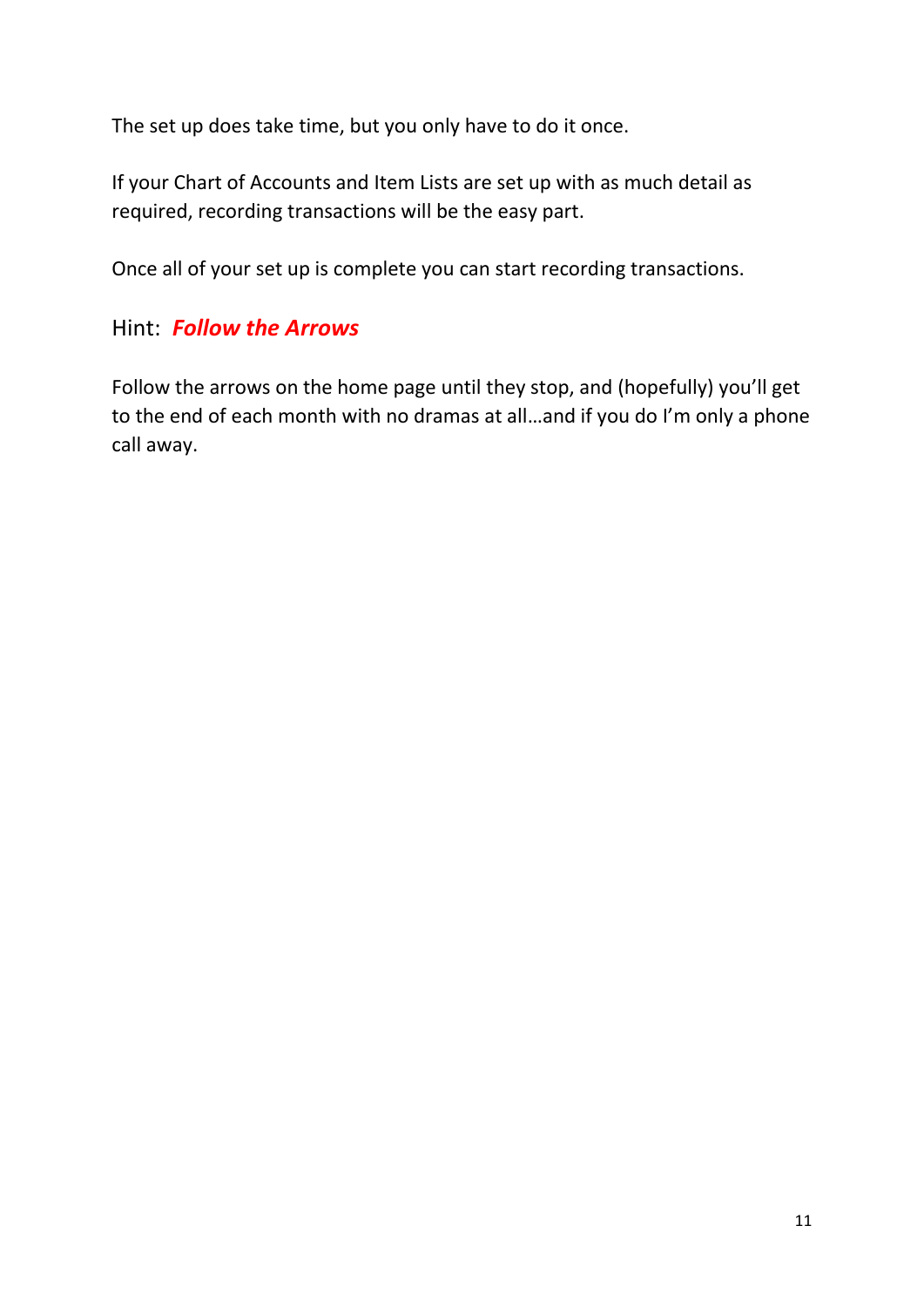The set up does take time, but you only have to do it once.

If your Chart of Accounts and Item Lists are set up with as much detail as required, recording transactions will be the easy part.

Once all of your set up is complete you can start recording transactions.

# Hint: *Follow the Arrows*

Follow the arrows on the home page until they stop, and (hopefully) you'll get to the end of each month with no dramas at all…and if you do I'm only a phone call away.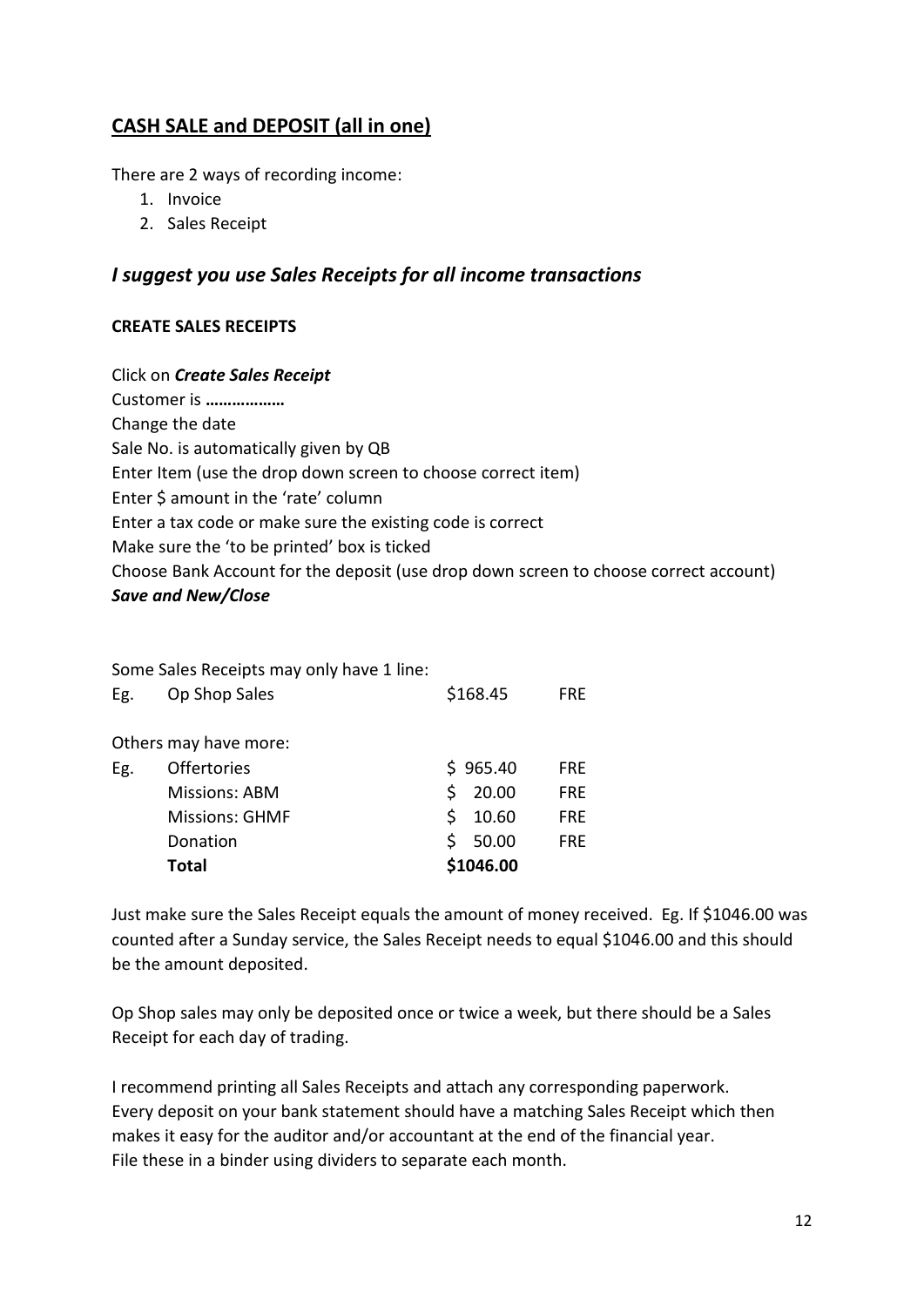# **CASH SALE and DEPOSIT (all in one)**

There are 2 ways of recording income:

- 1. Invoice
- 2. Sales Receipt

## *I suggest you use Sales Receipts for all income transactions*

## **CREATE SALES RECEIPTS**

Click on *Create Sales Receipt* Customer is **………………** Change the date Sale No. is automatically given by QB Enter Item (use the drop down screen to choose correct item) Enter \$ amount in the 'rate' column Enter a tax code or make sure the existing code is correct Make sure the 'to be printed' box is ticked Choose Bank Account for the deposit (use drop down screen to choose correct account) *Save and New/Close*

|     | Some Sales Receipts may only have 1 line: |    |           |            |
|-----|-------------------------------------------|----|-----------|------------|
| Eg. | Op Shop Sales                             |    | \$168.45  | FRE        |
|     | Others may have more:                     |    |           |            |
| Eg. | <b>Offertories</b>                        |    | \$965.40  | FRE        |
|     | Missions: ABM                             | Ś  | 20.00     | <b>FRE</b> |
|     | <b>Missions: GHMF</b>                     | Ś. | 10.60     | <b>FRE</b> |
|     | Donation                                  | Ś. | 50.00     | <b>FRE</b> |
|     | <b>Total</b>                              |    | \$1046.00 |            |

Just make sure the Sales Receipt equals the amount of money received. Eg. If \$1046.00 was counted after a Sunday service, the Sales Receipt needs to equal \$1046.00 and this should be the amount deposited.

Op Shop sales may only be deposited once or twice a week, but there should be a Sales Receipt for each day of trading.

I recommend printing all Sales Receipts and attach any corresponding paperwork. Every deposit on your bank statement should have a matching Sales Receipt which then makes it easy for the auditor and/or accountant at the end of the financial year. File these in a binder using dividers to separate each month.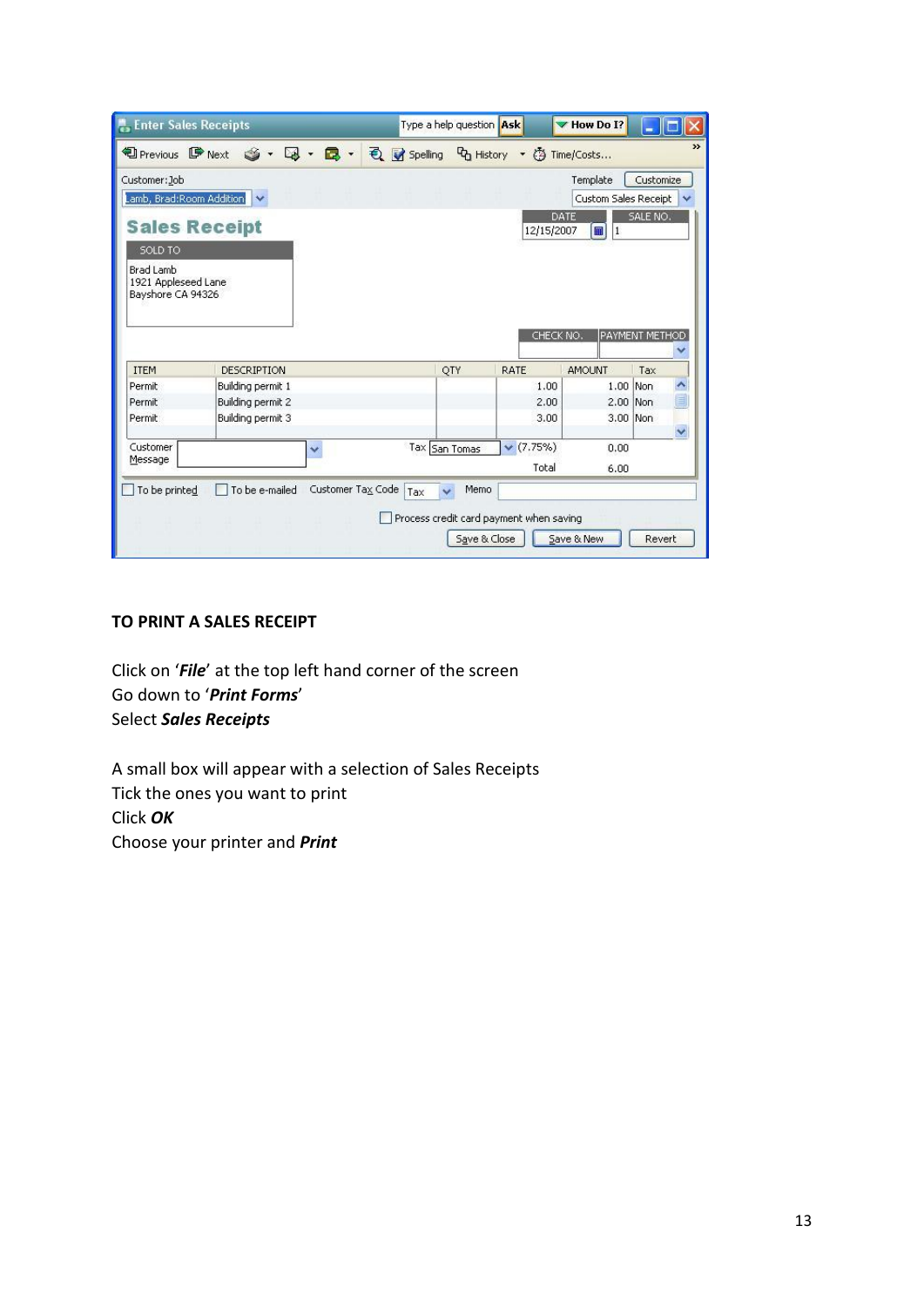| <b>Enter Sales Receipts</b>                                                        |                                                                 |                   |     | Type a help question Ask |                                            | MHow Do I?                                          |                                                |    |
|------------------------------------------------------------------------------------|-----------------------------------------------------------------|-------------------|-----|--------------------------|--------------------------------------------|-----------------------------------------------------|------------------------------------------------|----|
| <sup>1</sup> Previous D <sup></sup> Next                                           | $\mathbf{S} \cdot \mathbf{S} \cdot \mathbf{B} \cdot \mathbf{A}$ |                   |     |                          | <b>司 Spelling G History ▼ ③ Time/Costs</b> |                                                     |                                                | >> |
| Customer: Job<br>SOLD TO:<br>Brad Lamb<br>1921 Appleseed Lane<br>Bayshore CA 94326 | Lamb, Brad:Room Addition<br><b>Sales Receipt</b>                |                   |     |                          | 12/15/2007<br>CHECK NO.                    | Template<br>Custom Sales Receipt<br>DATE<br>■<br> 1 | Customize<br>SALE NO.<br><b>PAYMENT METHOD</b> |    |
| <b>ITEM</b>                                                                        | DESCRIPTION                                                     |                   |     | QTY                      | RATE                                       | <b>AMOUNT</b>                                       | Tax                                            |    |
| Permit                                                                             | Building permit 1                                               |                   |     |                          | 1.00                                       |                                                     | 1.00 Non                                       | ۸  |
| Permit                                                                             | Building permit 2                                               |                   |     |                          | 2.00                                       | 2.00 Non                                            |                                                | E  |
| Permit                                                                             | Building permit 3                                               |                   |     |                          | 3.00                                       | 3.00 Non                                            |                                                |    |
|                                                                                    |                                                                 |                   |     |                          |                                            |                                                     |                                                | v  |
| Customer                                                                           |                                                                 | v                 |     | Tax San Tomas            | (7.75%)                                    | 0.00                                                |                                                |    |
| Message                                                                            |                                                                 |                   |     |                          | Total                                      | 6.00                                                |                                                |    |
| To be printed                                                                      | To be e-mailed                                                  | Customer Tax Code | Tax | Memo<br>Save & Close     | Process credit card payment when saving    | Save & New                                          | Revert                                         |    |

## **TO PRINT A SALES RECEIPT**

Click on '*File*' at the top left hand corner of the screen Go down to '*Print Forms*' Select *Sales Receipts*

A small box will appear with a selection of Sales Receipts Tick the ones you want to print Click *OK* Choose your printer and *Print*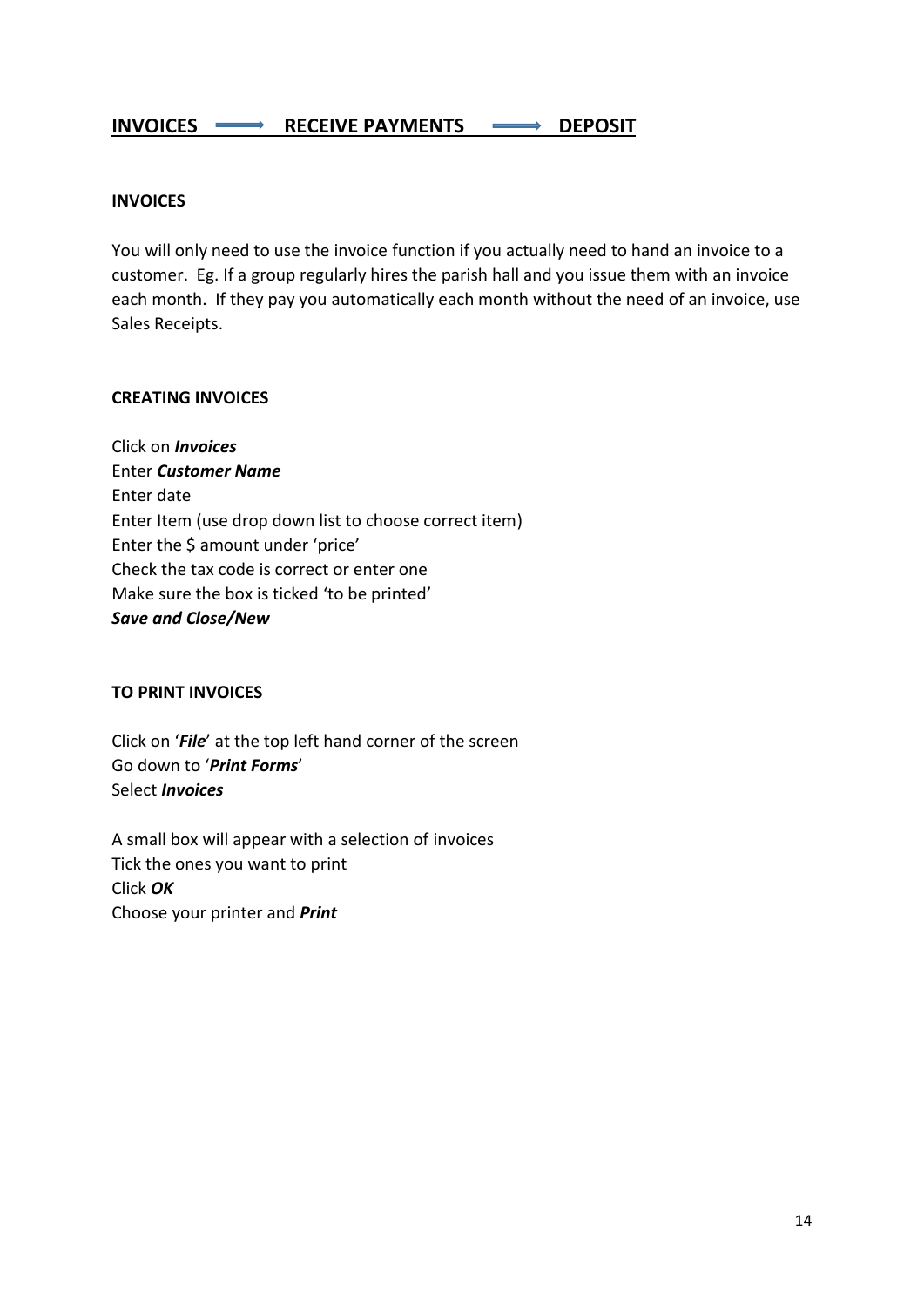## INVOICES  $\longrightarrow$  RECEIVE PAYMENTS  $\longrightarrow$  DEPOSIT

#### **INVOICES**

You will only need to use the invoice function if you actually need to hand an invoice to a customer. Eg. If a group regularly hires the parish hall and you issue them with an invoice each month. If they pay you automatically each month without the need of an invoice, use Sales Receipts.

#### **CREATING INVOICES**

Click on *Invoices* Enter *Customer Name* Enter date Enter Item (use drop down list to choose correct item) Enter the \$ amount under 'price' Check the tax code is correct or enter one Make sure the box is ticked 'to be printed' *Save and Close/New*

#### **TO PRINT INVOICES**

Click on '*File*' at the top left hand corner of the screen Go down to '*Print Forms*' Select *Invoices*

A small box will appear with a selection of invoices Tick the ones you want to print Click *OK* Choose your printer and *Print*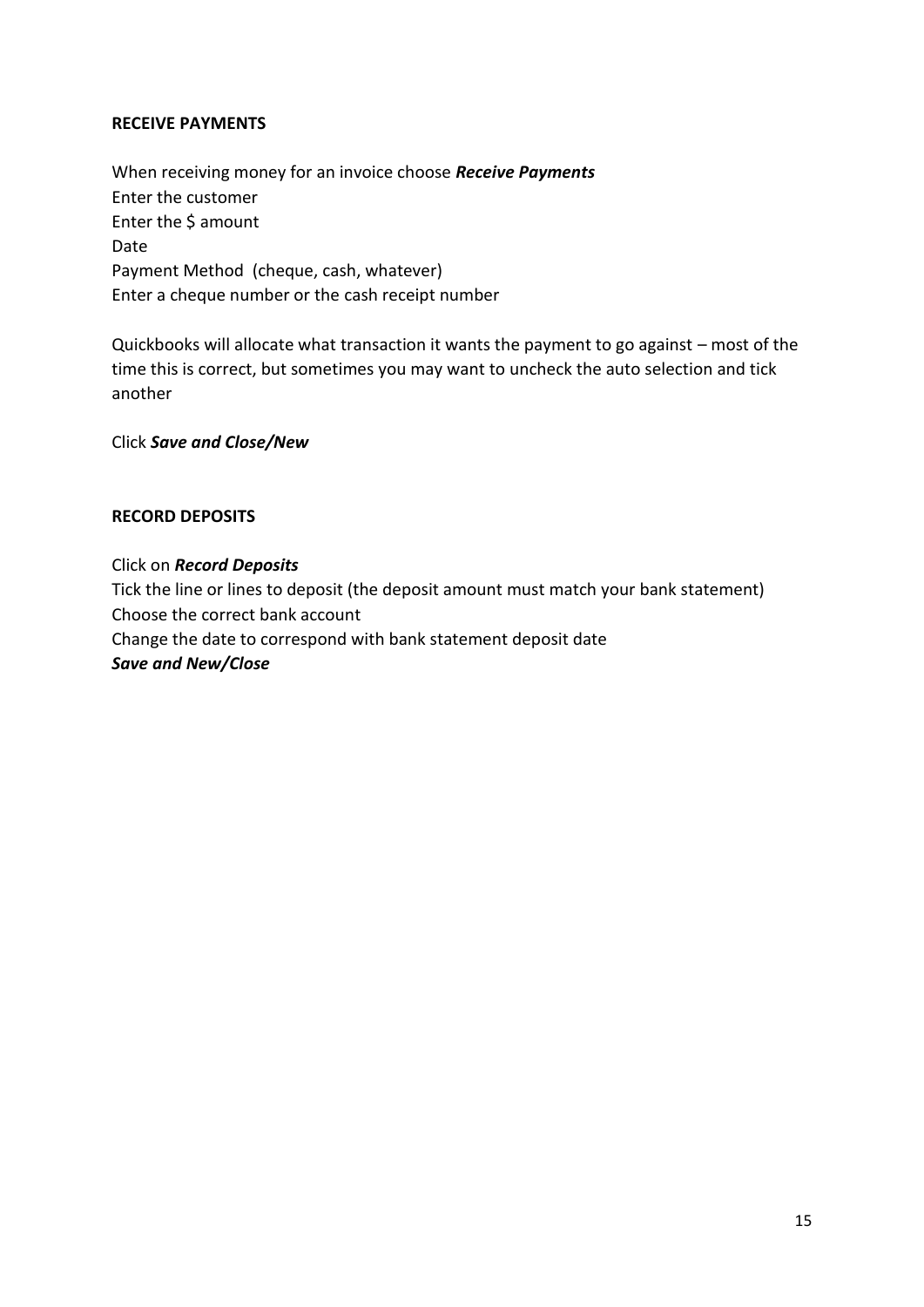### **RECEIVE PAYMENTS**

When receiving money for an invoice choose *Receive Payments* Enter the customer Enter the \$ amount Date Payment Method (cheque, cash, whatever) Enter a cheque number or the cash receipt number

Quickbooks will allocate what transaction it wants the payment to go against – most of the time this is correct, but sometimes you may want to uncheck the auto selection and tick another

Click *Save and Close/New*

#### **RECORD DEPOSITS**

Click on *Record Deposits* Tick the line or lines to deposit (the deposit amount must match your bank statement) Choose the correct bank account Change the date to correspond with bank statement deposit date *Save and New/Close*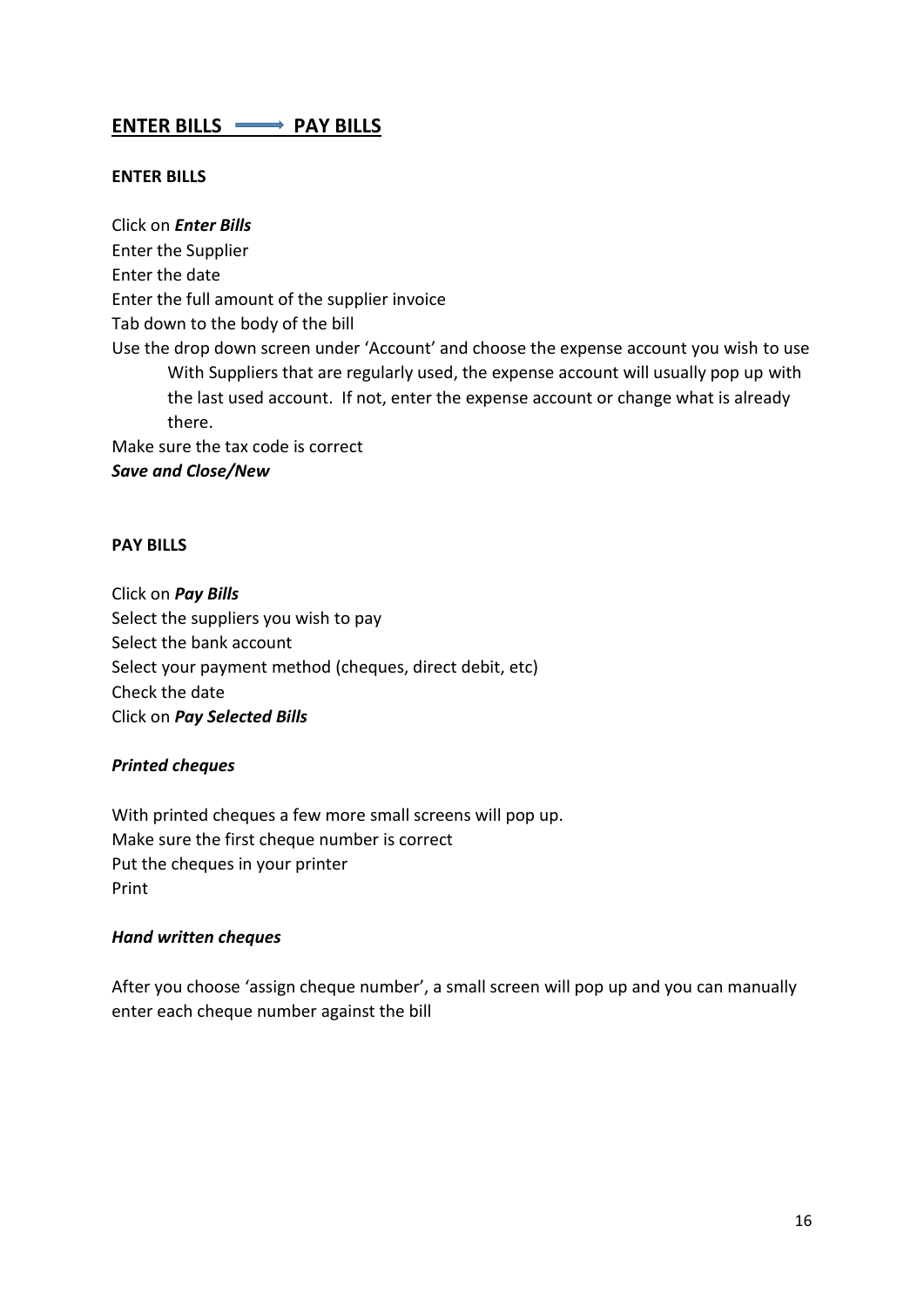# **ENTER BILLS WE PAY BILLS**

#### **ENTER BILLS**

Click on *Enter Bills* Enter the Supplier Enter the date Enter the full amount of the supplier invoice Tab down to the body of the bill Use the drop down screen under 'Account' and choose the expense account you wish to use With Suppliers that are regularly used, the expense account will usually pop up with the last used account. If not, enter the expense account or change what is already there. Make sure the tax code is correct

#### *Save and Close/New*

#### **PAY BILLS**

Click on *Pay Bills* Select the suppliers you wish to pay Select the bank account Select your payment method (cheques, direct debit, etc) Check the date Click on *Pay Selected Bills*

#### *Printed cheques*

With printed cheques a few more small screens will pop up. Make sure the first cheque number is correct Put the cheques in your printer Print

#### *Hand written cheques*

After you choose 'assign cheque number', a small screen will pop up and you can manually enter each cheque number against the bill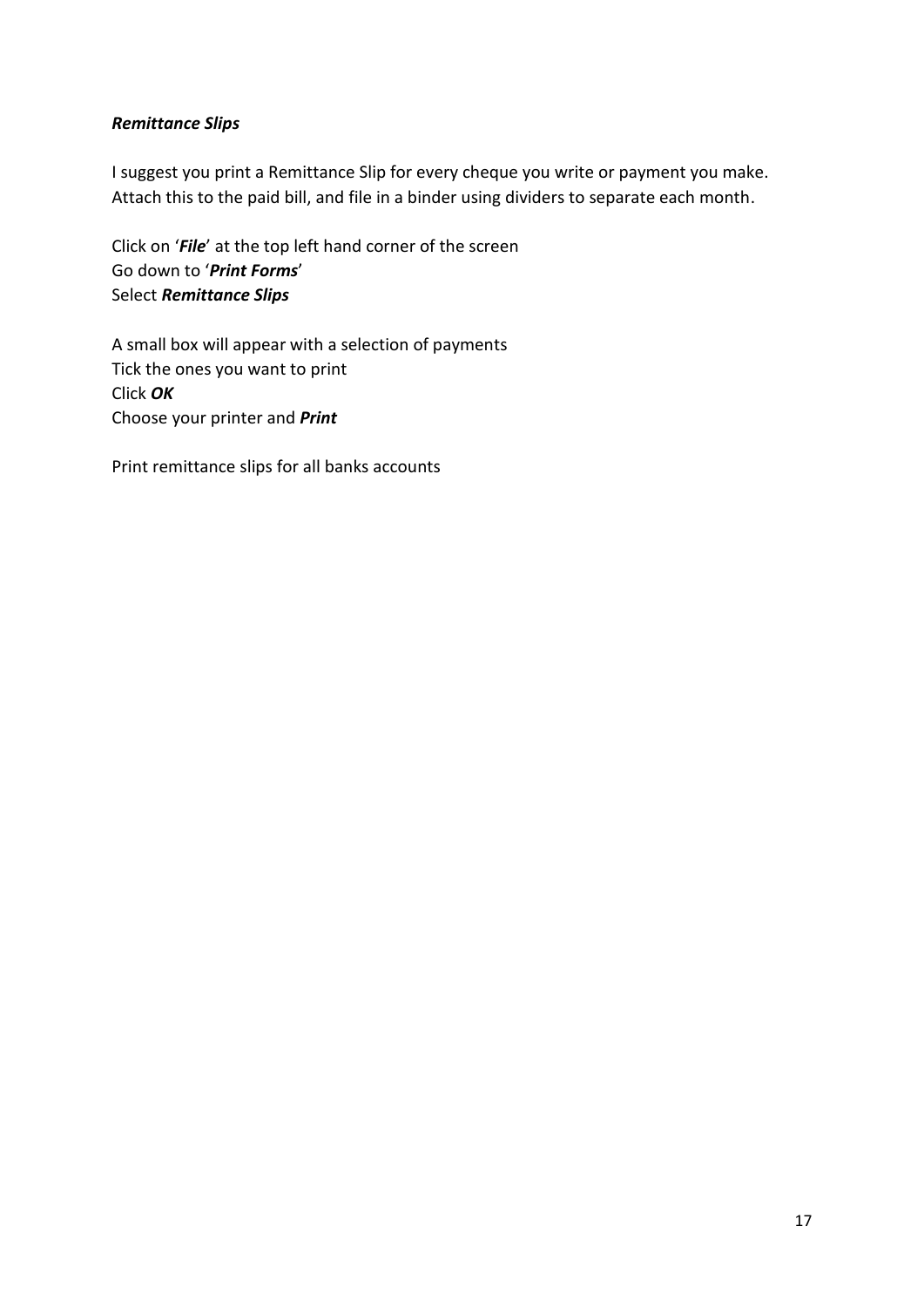## *Remittance Slips*

I suggest you print a Remittance Slip for every cheque you write or payment you make. Attach this to the paid bill, and file in a binder using dividers to separate each month.

Click on '*File*' at the top left hand corner of the screen Go down to '*Print Forms*' Select *Remittance Slips*

A small box will appear with a selection of payments Tick the ones you want to print Click *OK* Choose your printer and *Print*

Print remittance slips for all banks accounts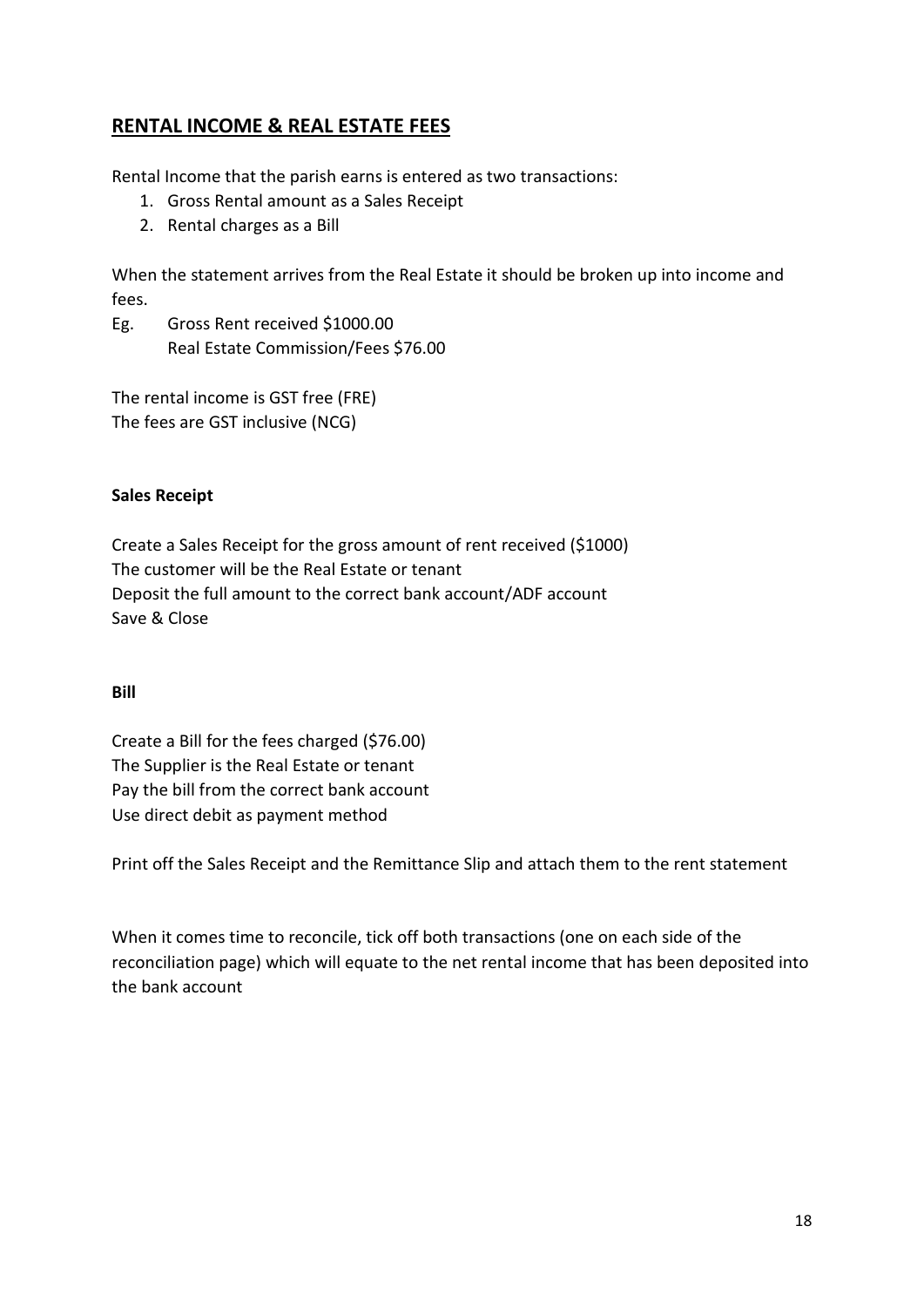# **RENTAL INCOME & REAL ESTATE FEES**

Rental Income that the parish earns is entered as two transactions:

- 1. Gross Rental amount as a Sales Receipt
- 2. Rental charges as a Bill

When the statement arrives from the Real Estate it should be broken up into income and fees.

Eg. Gross Rent received \$1000.00 Real Estate Commission/Fees \$76.00

The rental income is GST free (FRE) The fees are GST inclusive (NCG)

### **Sales Receipt**

Create a Sales Receipt for the gross amount of rent received (\$1000) The customer will be the Real Estate or tenant Deposit the full amount to the correct bank account/ADF account Save & Close

#### **Bill**

Create a Bill for the fees charged (\$76.00) The Supplier is the Real Estate or tenant Pay the bill from the correct bank account Use direct debit as payment method

Print off the Sales Receipt and the Remittance Slip and attach them to the rent statement

When it comes time to reconcile, tick off both transactions (one on each side of the reconciliation page) which will equate to the net rental income that has been deposited into the bank account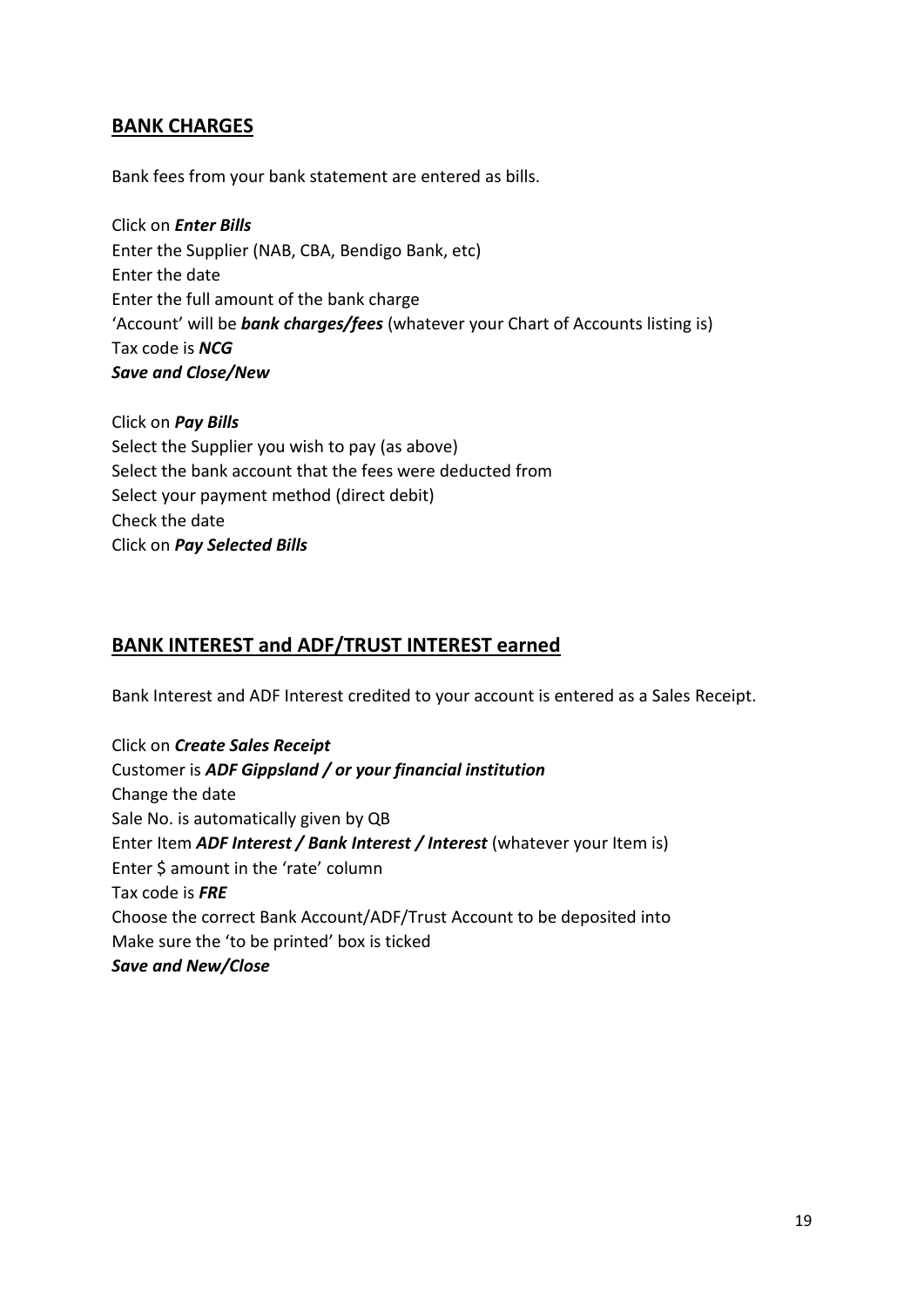## **BANK CHARGES**

Bank fees from your bank statement are entered as bills.

Click on *Enter Bills* Enter the Supplier (NAB, CBA, Bendigo Bank, etc) Enter the date Enter the full amount of the bank charge 'Account' will be *bank charges/fees* (whatever your Chart of Accounts listing is) Tax code is *NCG Save and Close/New*

Click on *Pay Bills* Select the Supplier you wish to pay (as above) Select the bank account that the fees were deducted from Select your payment method (direct debit) Check the date Click on *Pay Selected Bills*

# **BANK INTEREST and ADF/TRUST INTEREST earned**

Bank Interest and ADF Interest credited to your account is entered as a Sales Receipt.

Click on *Create Sales Receipt* Customer is *ADF Gippsland / or your financial institution* Change the date Sale No. is automatically given by QB Enter Item *ADF Interest / Bank Interest / Interest* (whatever your Item is) Enter \$ amount in the 'rate' column Tax code is *FRE* Choose the correct Bank Account/ADF/Trust Account to be deposited into Make sure the 'to be printed' box is ticked *Save and New/Close*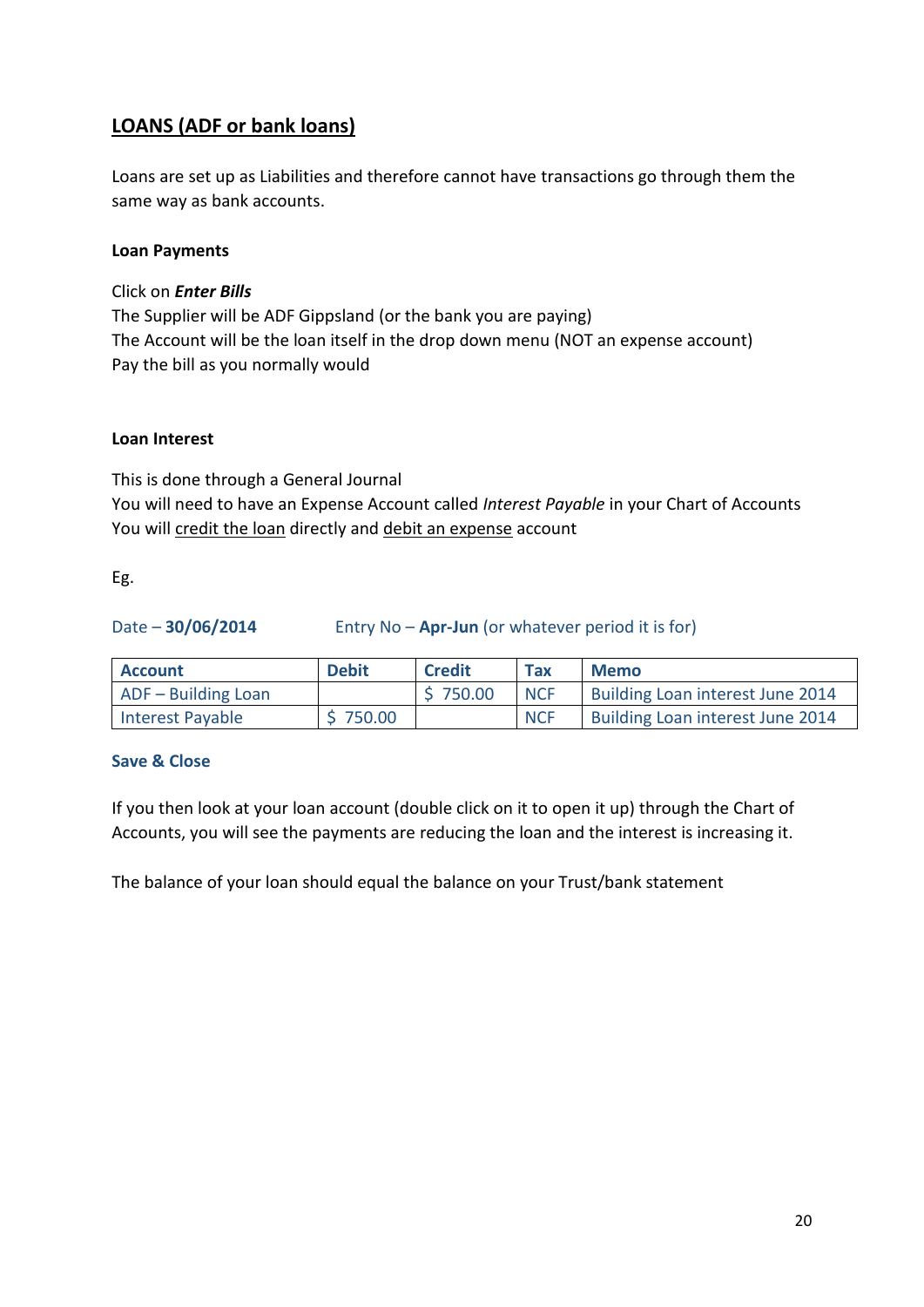# **LOANS (ADF or bank loans)**

Loans are set up as Liabilities and therefore cannot have transactions go through them the same way as bank accounts.

#### **Loan Payments**

Click on *Enter Bills*

The Supplier will be ADF Gippsland (or the bank you are paying) The Account will be the loan itself in the drop down menu (NOT an expense account) Pay the bill as you normally would

#### **Loan Interest**

This is done through a General Journal You will need to have an Expense Account called *Interest Payable* in your Chart of Accounts You will credit the loan directly and debit an expense account

#### Eg.

| Date $-30/06/2014$ | Entry No $-$ Apr-Jun (or whatever period it is for) |  |
|--------------------|-----------------------------------------------------|--|
|--------------------|-----------------------------------------------------|--|

| <b>Account</b>      | <b>Debit</b> | <b>Credit</b> | <b>Tax</b> | <b>Memo</b>                      |
|---------------------|--------------|---------------|------------|----------------------------------|
| ADF - Building Loan |              | \$750.00      | <b>NCF</b> | Building Loan interest June 2014 |
| Interest Payable    | \$750.00     |               | <b>NCF</b> | Building Loan interest June 2014 |

## **Save & Close**

If you then look at your loan account (double click on it to open it up) through the Chart of Accounts, you will see the payments are reducing the loan and the interest is increasing it.

The balance of your loan should equal the balance on your Trust/bank statement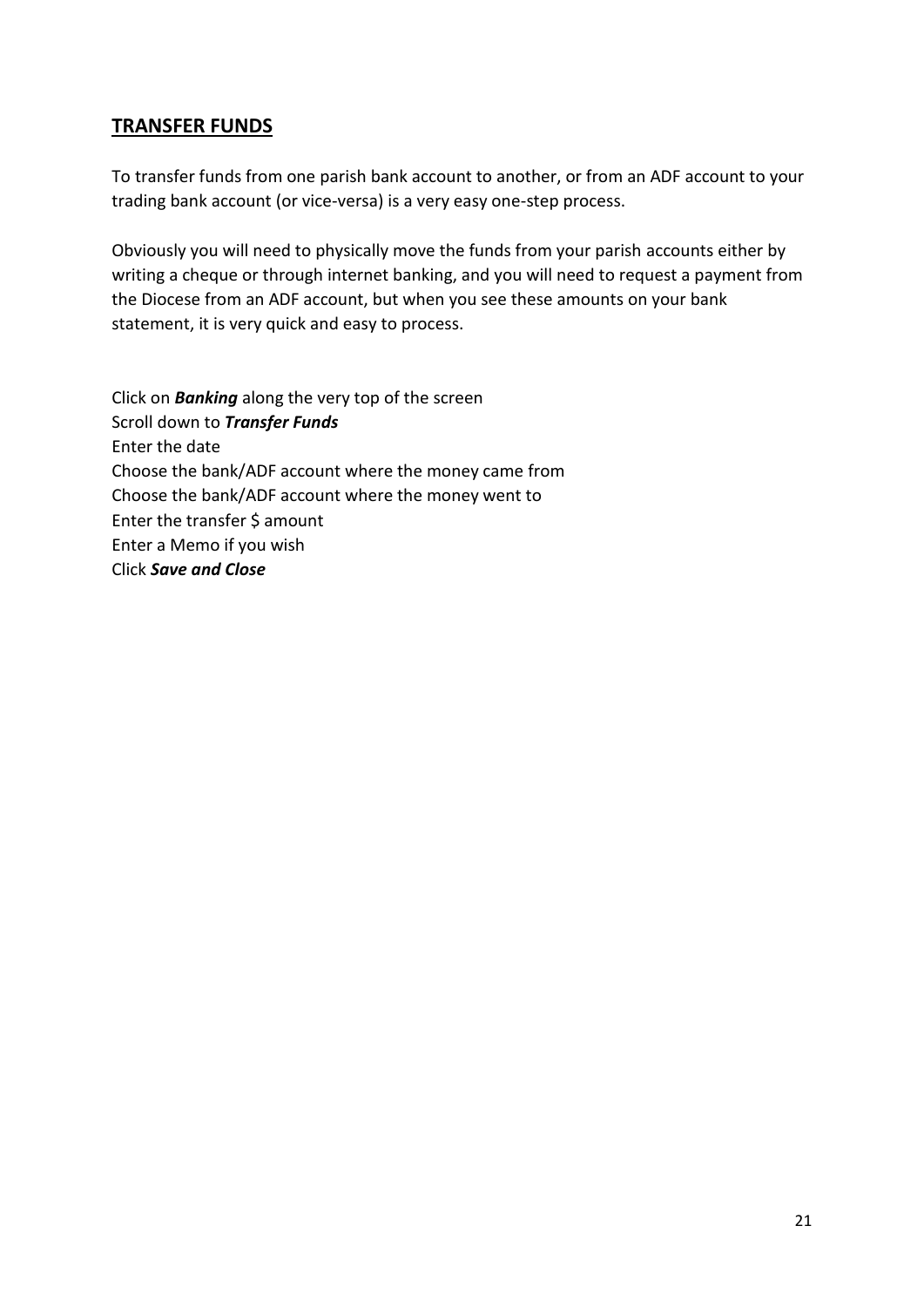# **TRANSFER FUNDS**

To transfer funds from one parish bank account to another, or from an ADF account to your trading bank account (or vice-versa) is a very easy one-step process.

Obviously you will need to physically move the funds from your parish accounts either by writing a cheque or through internet banking, and you will need to request a payment from the Diocese from an ADF account, but when you see these amounts on your bank statement, it is very quick and easy to process.

Click on *Banking* along the very top of the screen Scroll down to *Transfer Funds* Enter the date Choose the bank/ADF account where the money came from Choose the bank/ADF account where the money went to Enter the transfer \$ amount Enter a Memo if you wish Click *Save and Close*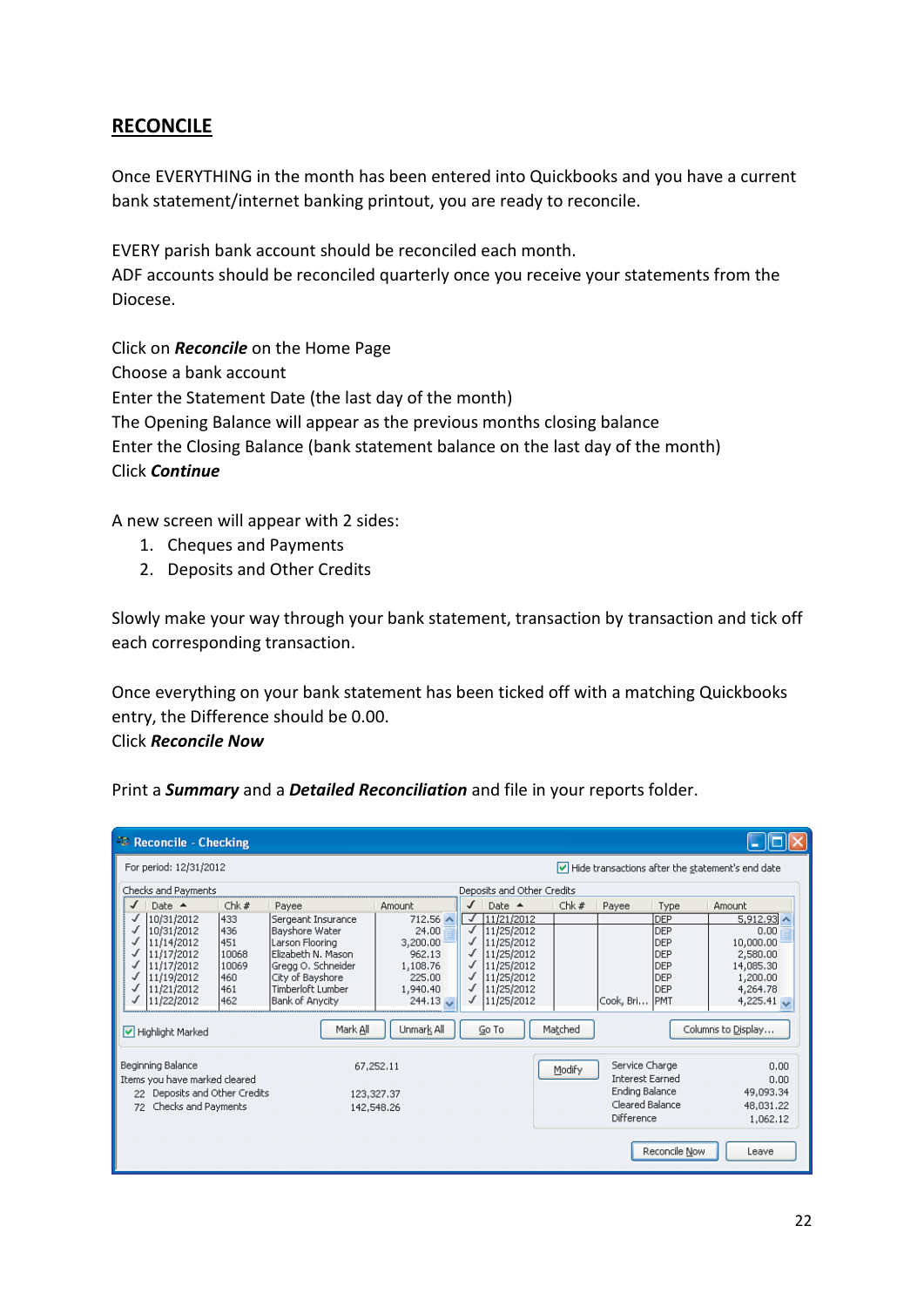# **RECONCILE**

Once EVERYTHING in the month has been entered into Quickbooks and you have a current bank statement/internet banking printout, you are ready to reconcile.

EVERY parish bank account should be reconciled each month. ADF accounts should be reconciled quarterly once you receive your statements from the Diocese.

Click on *Reconcile* on the Home Page Choose a bank account Enter the Statement Date (the last day of the month) The Opening Balance will appear as the previous months closing balance Enter the Closing Balance (bank statement balance on the last day of the month) Click *Continue*

A new screen will appear with 2 sides:

- 1. Cheques and Payments
- 2. Deposits and Other Credits

Slowly make your way through your bank statement, transaction by transaction and tick off each corresponding transaction.

Once everything on your bank statement has been ticked off with a matching Quickbooks entry, the Difference should be 0.00. Click *Reconcile Now*

Print a *Summary* and a *Detailed Reconciliation* and file in your reports folder.

| <b>AL</b> Reconcile - Checking                                                                                                                                                               |                                                                                                                                                                             |                                                                                                                    |                                                                                                                                                                                                        |         |                                                                                             |                                                                           |                                                                                                                             |
|----------------------------------------------------------------------------------------------------------------------------------------------------------------------------------------------|-----------------------------------------------------------------------------------------------------------------------------------------------------------------------------|--------------------------------------------------------------------------------------------------------------------|--------------------------------------------------------------------------------------------------------------------------------------------------------------------------------------------------------|---------|---------------------------------------------------------------------------------------------|---------------------------------------------------------------------------|-----------------------------------------------------------------------------------------------------------------------------|
| For period: 12/31/2012                                                                                                                                                                       |                                                                                                                                                                             |                                                                                                                    |                                                                                                                                                                                                        |         |                                                                                             |                                                                           | Hide transactions after the statement's end date                                                                            |
| Checks and Payments                                                                                                                                                                          |                                                                                                                                                                             |                                                                                                                    | Deposits and Other Credits                                                                                                                                                                             |         |                                                                                             |                                                                           |                                                                                                                             |
| Chk#<br>Date $\triangle$<br>ℐ                                                                                                                                                                | Payee                                                                                                                                                                       | Amount                                                                                                             | ℐ<br>Date $\triangle$                                                                                                                                                                                  | Chk#    | Payee                                                                                       | Type                                                                      | Amount                                                                                                                      |
| 10/31/2012<br>433<br>10/31/2012<br>436<br>451<br>11/14/2012<br>10068<br>11/17/2012<br>11/17/2012<br>10069<br>11/19/2012<br>460<br>461<br>11/21/2012<br>462<br>11/22/2012<br>Highlight Marked | Sergeant Insurance<br>Bayshore Water<br>Larson Flooring<br>Elizabeth N. Mason<br>Gregg O, Schneider<br>City of Bayshore<br>Timberloft Lumber<br>Bank of Anycity<br>Mark All | $712.56$ $\land$<br>24.00<br>3,200.00<br>962.13<br>1,108.76<br>225.00<br>1,940.40<br>$244.13 \times$<br>Unmark All | $\sqrt{111/21/2012}$<br>$\sqrt{ }$<br>11/25/2012<br>√<br>11/25/2012<br>$\sqrt{ }$<br>11/25/2012<br>11/25/2012<br>$\sqrt{ }$<br>ℐ<br>11/25/2012<br>✔<br>11/25/2012<br>$\sqrt{ }$<br>11/25/2012<br>Go To | Matched | Cook, Bri                                                                                   | <b>DEP</b><br><b>DEP</b><br>DEP<br>DEP<br>DEP<br>DEP<br>DEP<br><b>PMT</b> | 5,912.93<br>0.00<br>10,000.00<br>2,580.00<br>14,085.30<br>1,200.00<br>4,264.78<br>4,225.41 $\sqrt{ }$<br>Columns to Display |
| Beginning Balance<br>Items you have marked cleared<br>Deposits and Other Credits<br>Checks and Payments<br>72                                                                                |                                                                                                                                                                             | 67.252.11<br>123,327,37<br>142,548.26                                                                              |                                                                                                                                                                                                        | Modify  | Service Charge<br><b>Interest Farned</b><br>Ending Balance<br>Cleared Balance<br>Difference | Reconcile Now                                                             | 0.00<br>0.00<br>49,093.34<br>48,031.22<br>1,062.12<br>Leave                                                                 |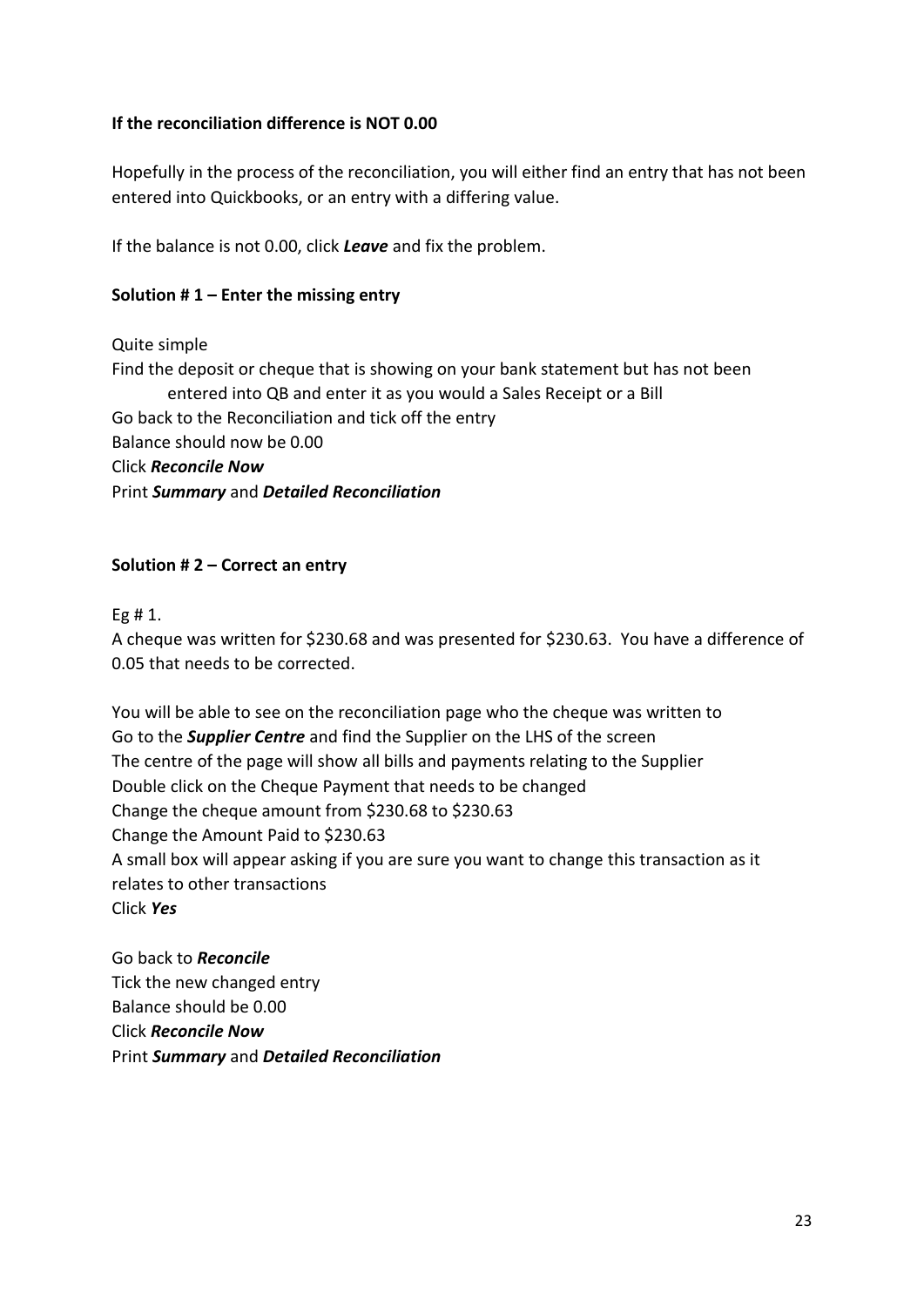## **If the reconciliation difference is NOT 0.00**

Hopefully in the process of the reconciliation, you will either find an entry that has not been entered into Quickbooks, or an entry with a differing value.

If the balance is not 0.00, click *Leave* and fix the problem.

### **Solution # 1 – Enter the missing entry**

#### Quite simple

Find the deposit or cheque that is showing on your bank statement but has not been entered into QB and enter it as you would a Sales Receipt or a Bill Go back to the Reconciliation and tick off the entry Balance should now be 0.00 Click *Reconcile Now* Print *Summary* and *Detailed Reconciliation*

### **Solution # 2 – Correct an entry**

Eg # 1.

A cheque was written for \$230.68 and was presented for \$230.63. You have a difference of 0.05 that needs to be corrected.

You will be able to see on the reconciliation page who the cheque was written to Go to the *Supplier Centre* and find the Supplier on the LHS of the screen The centre of the page will show all bills and payments relating to the Supplier Double click on the Cheque Payment that needs to be changed Change the cheque amount from \$230.68 to \$230.63 Change the Amount Paid to \$230.63 A small box will appear asking if you are sure you want to change this transaction as it relates to other transactions Click *Yes*

Go back to *Reconcile* Tick the new changed entry Balance should be 0.00 Click *Reconcile Now* Print *Summary* and *Detailed Reconciliation*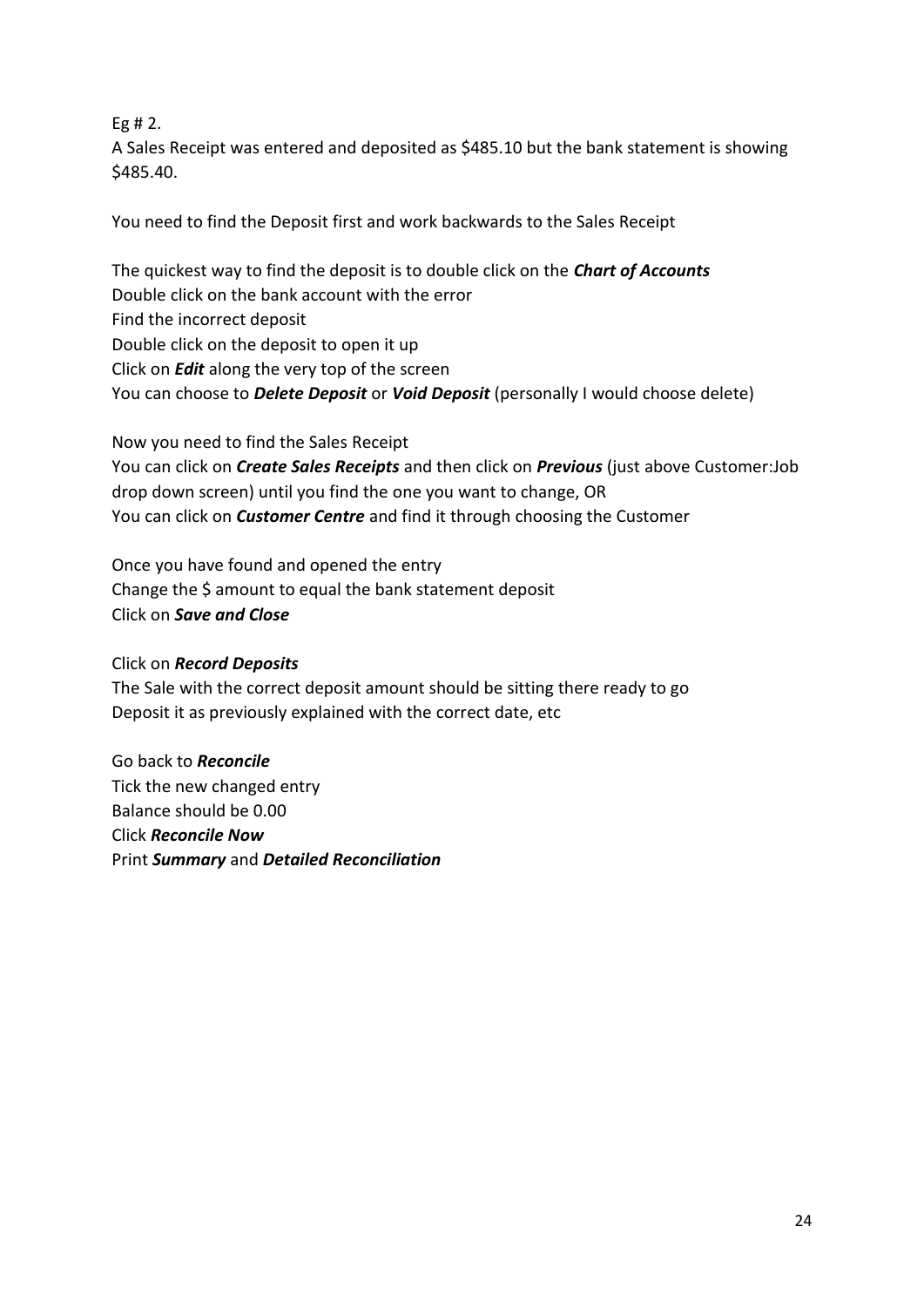## Eg # 2.

A Sales Receipt was entered and deposited as \$485.10 but the bank statement is showing \$485.40.

You need to find the Deposit first and work backwards to the Sales Receipt

The quickest way to find the deposit is to double click on the *Chart of Accounts* Double click on the bank account with the error Find the incorrect deposit Double click on the deposit to open it up Click on *Edit* along the very top of the screen You can choose to *Delete Deposit* or *Void Deposit* (personally I would choose delete)

Now you need to find the Sales Receipt You can click on *Create Sales Receipts* and then click on *Previous* (just above Customer:Job drop down screen) until you find the one you want to change, OR You can click on *Customer Centre* and find it through choosing the Customer

Once you have found and opened the entry Change the \$ amount to equal the bank statement deposit Click on *Save and Close*

## Click on *Record Deposits*

The Sale with the correct deposit amount should be sitting there ready to go Deposit it as previously explained with the correct date, etc

Go back to *Reconcile* Tick the new changed entry Balance should be 0.00 Click *Reconcile Now* Print *Summary* and *Detailed Reconciliation*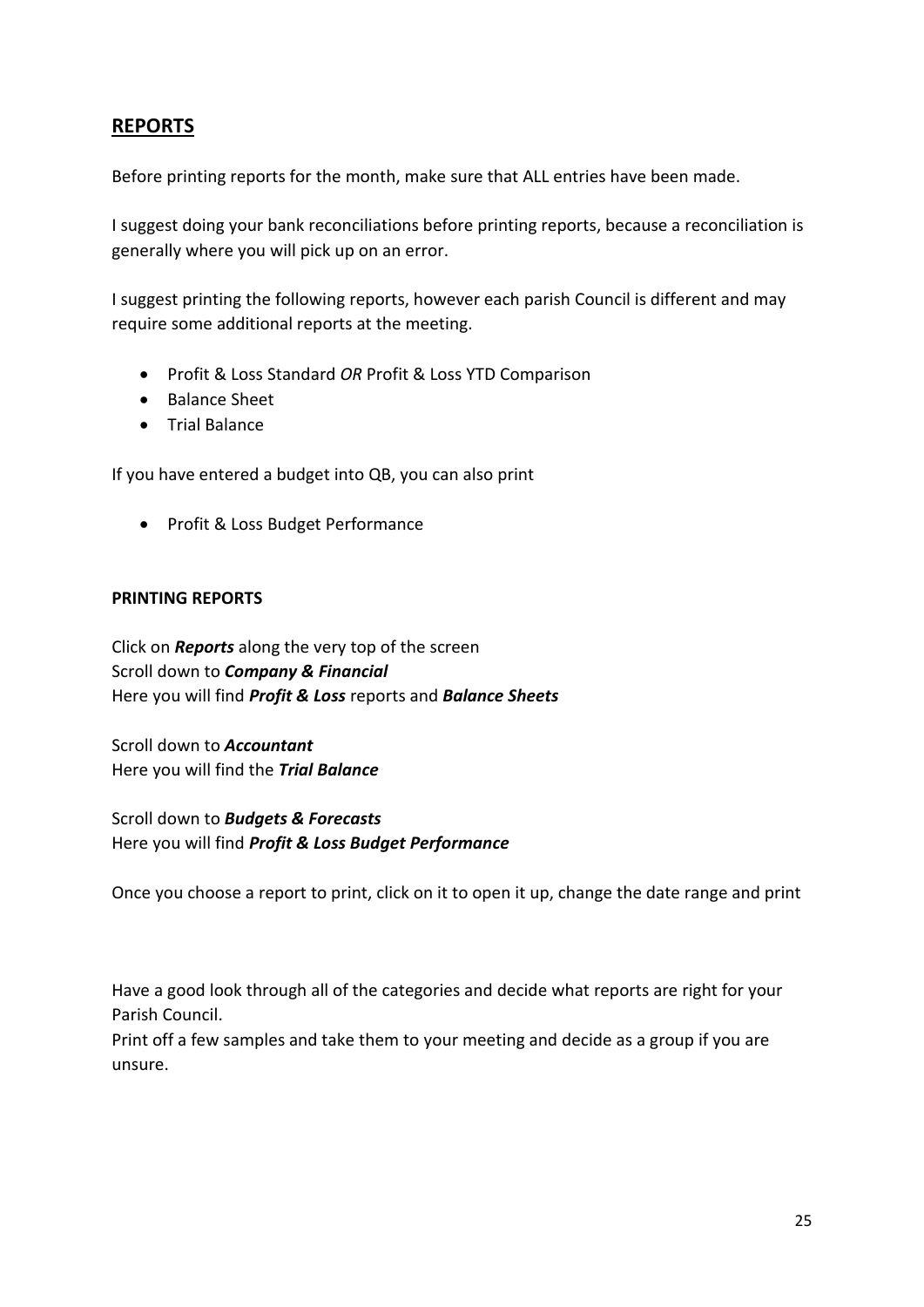# **REPORTS**

Before printing reports for the month, make sure that ALL entries have been made.

I suggest doing your bank reconciliations before printing reports, because a reconciliation is generally where you will pick up on an error.

I suggest printing the following reports, however each parish Council is different and may require some additional reports at the meeting.

- Profit & Loss Standard *OR* Profit & Loss YTD Comparison
- Balance Sheet
- Trial Balance

If you have entered a budget into QB, you can also print

• Profit & Loss Budget Performance

#### **PRINTING REPORTS**

Click on *Reports* along the very top of the screen Scroll down to *Company & Financial* Here you will find *Profit & Loss* reports and *Balance Sheets*

Scroll down to *Accountant* Here you will find the *Trial Balance*

Scroll down to *Budgets & Forecasts* Here you will find *Profit & Loss Budget Performance*

Once you choose a report to print, click on it to open it up, change the date range and print

Have a good look through all of the categories and decide what reports are right for your Parish Council.

Print off a few samples and take them to your meeting and decide as a group if you are unsure.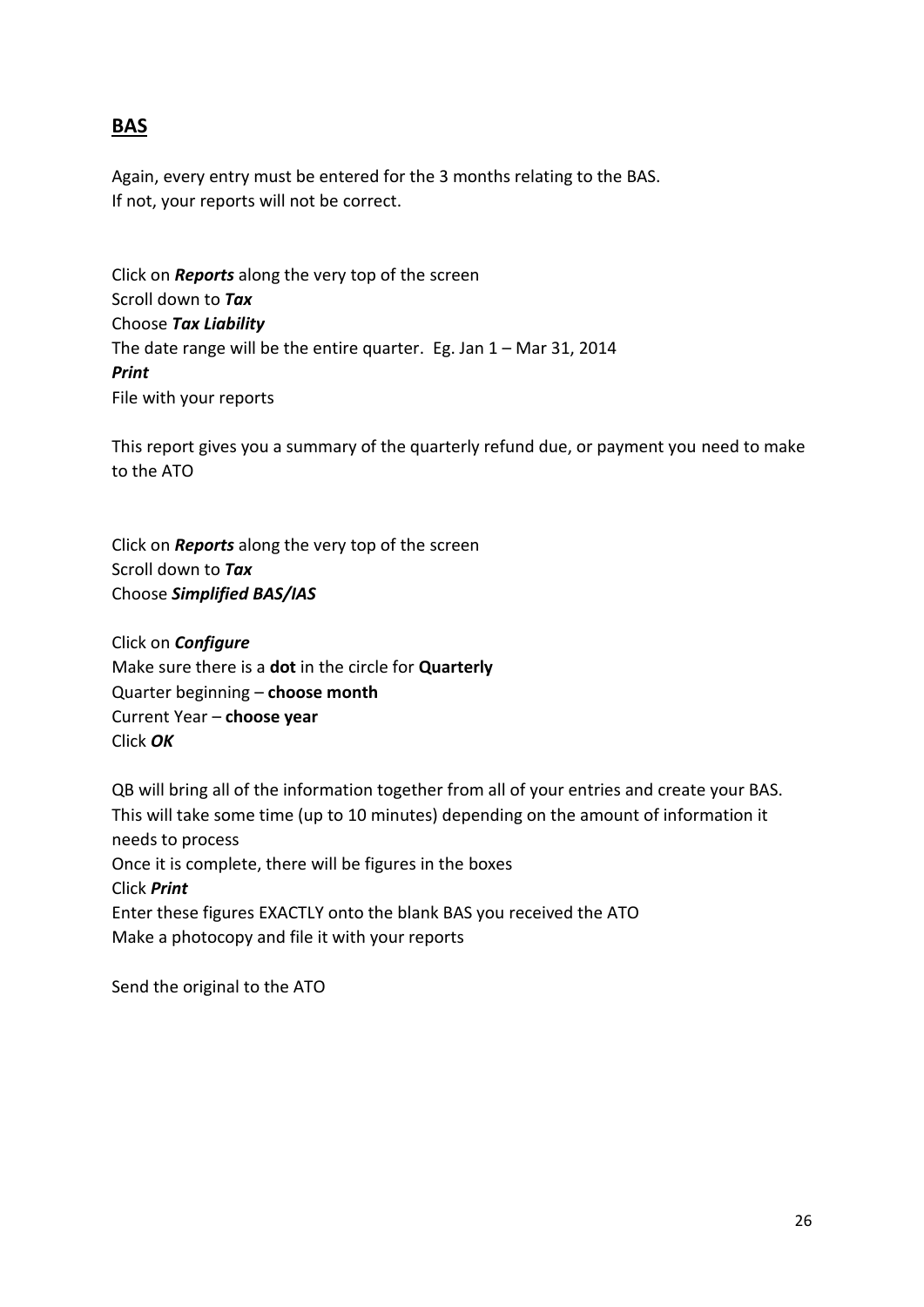# **BAS**

Again, every entry must be entered for the 3 months relating to the BAS. If not, your reports will not be correct.

Click on *Reports* along the very top of the screen Scroll down to *Tax* Choose *Tax Liability* The date range will be the entire quarter. Eg. Jan 1 – Mar 31, 2014 *Print* File with your reports

This report gives you a summary of the quarterly refund due, or payment you need to make to the ATO

Click on *Reports* along the very top of the screen Scroll down to *Tax* Choose *Simplified BAS/IAS*

Click on *Configure* Make sure there is a **dot** in the circle for **Quarterly** Quarter beginning – **choose month** Current Year – **choose year** Click *OK*

QB will bring all of the information together from all of your entries and create your BAS. This will take some time (up to 10 minutes) depending on the amount of information it needs to process Once it is complete, there will be figures in the boxes Click *Print* Enter these figures EXACTLY onto the blank BAS you received the ATO Make a photocopy and file it with your reports

Send the original to the ATO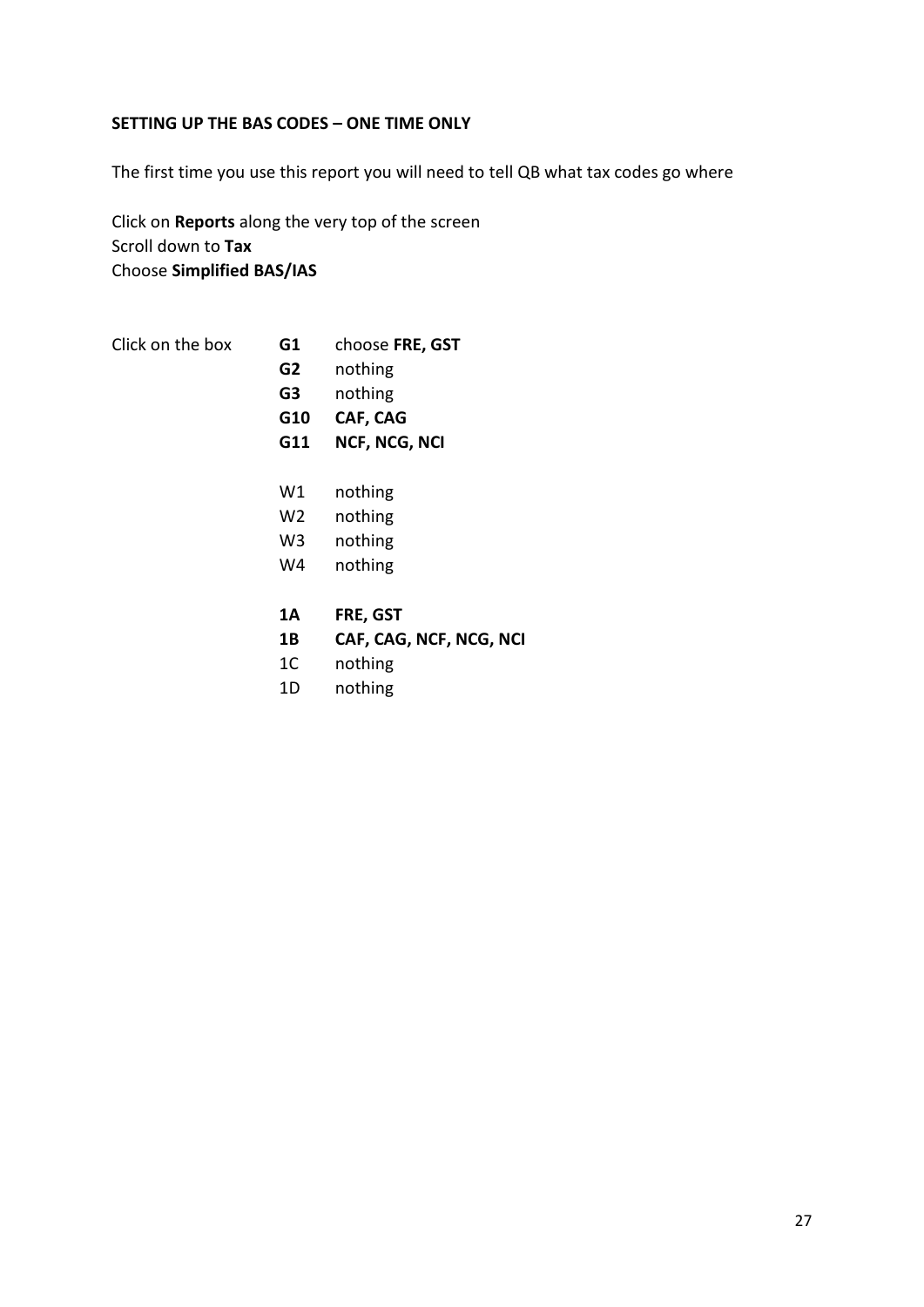### **SETTING UP THE BAS CODES – ONE TIME ONLY**

The first time you use this report you will need to tell QB what tax codes go where

Click on **Reports** along the very top of the screen Scroll down to **Tax** Choose **Simplified BAS/IAS**

| choose FRE, GST<br>Click on the box<br>G1 |  |
|-------------------------------------------|--|
|-------------------------------------------|--|

- **G2** nothing
- **G3** nothing
- **G10 CAF, CAG**
- **G11 NCF, NCG, NCI**
- W1 nothing
- W2 nothing
- W3 nothing
- W4 nothing
- **1A FRE, GST**
- **1B CAF, CAG, NCF, NCG, NCI**
- 1C nothing
- 1D nothing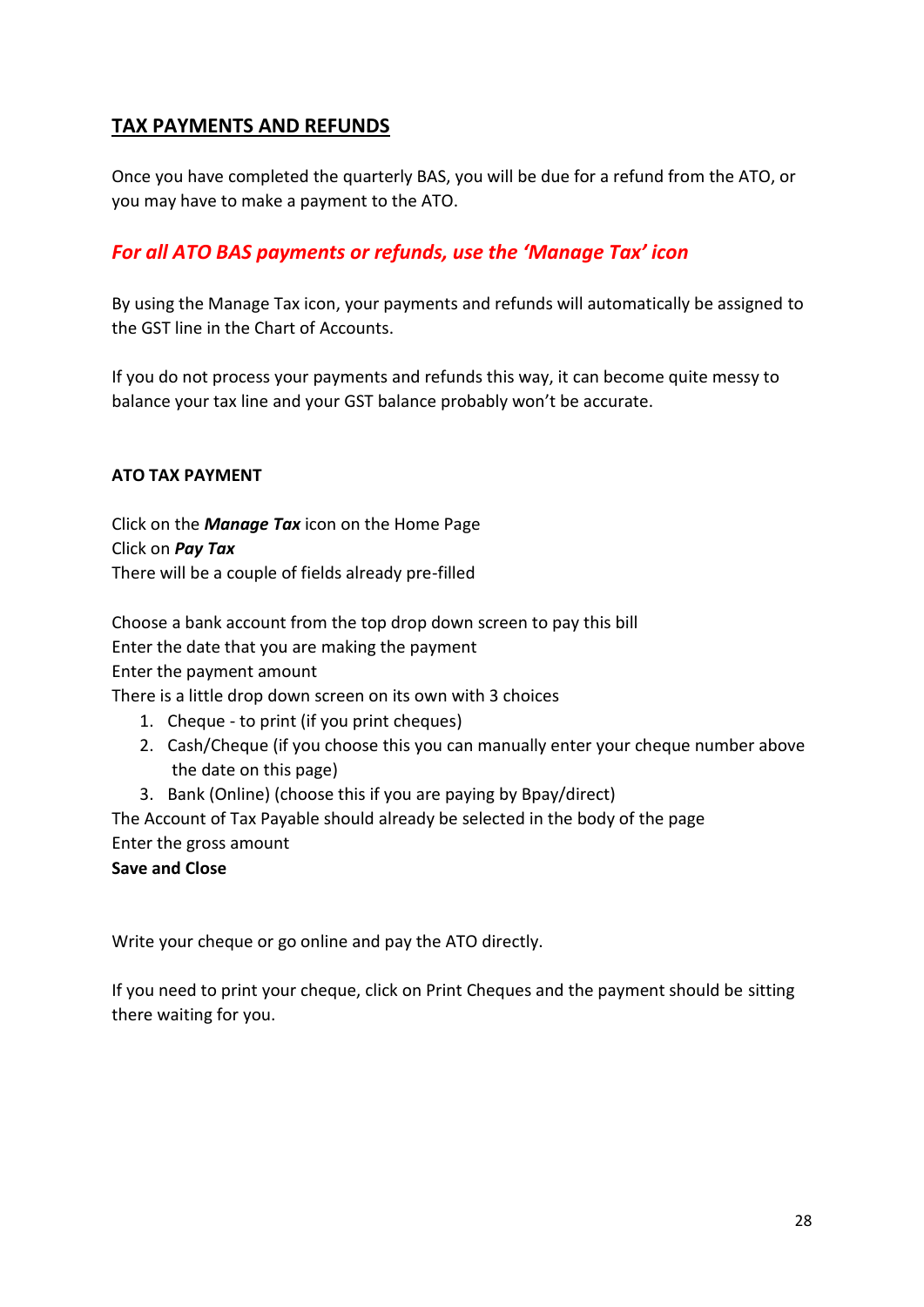# **TAX PAYMENTS AND REFUNDS**

Once you have completed the quarterly BAS, you will be due for a refund from the ATO, or you may have to make a payment to the ATO.

# *For all ATO BAS payments or refunds, use the 'Manage Tax' icon*

By using the Manage Tax icon, your payments and refunds will automatically be assigned to the GST line in the Chart of Accounts.

If you do not process your payments and refunds this way, it can become quite messy to balance your tax line and your GST balance probably won't be accurate.

## **ATO TAX PAYMENT**

Click on the *Manage Tax* icon on the Home Page Click on *Pay Tax* There will be a couple of fields already pre-filled

Choose a bank account from the top drop down screen to pay this bill Enter the date that you are making the payment Enter the payment amount

There is a little drop down screen on its own with 3 choices

- 1. Cheque to print (if you print cheques)
- 2. Cash/Cheque (if you choose this you can manually enter your cheque number above the date on this page)
- 3. Bank (Online) (choose this if you are paying by Bpay/direct)

The Account of Tax Payable should already be selected in the body of the page Enter the gross amount

**Save and Close**

Write your cheque or go online and pay the ATO directly.

If you need to print your cheque, click on Print Cheques and the payment should be sitting there waiting for you.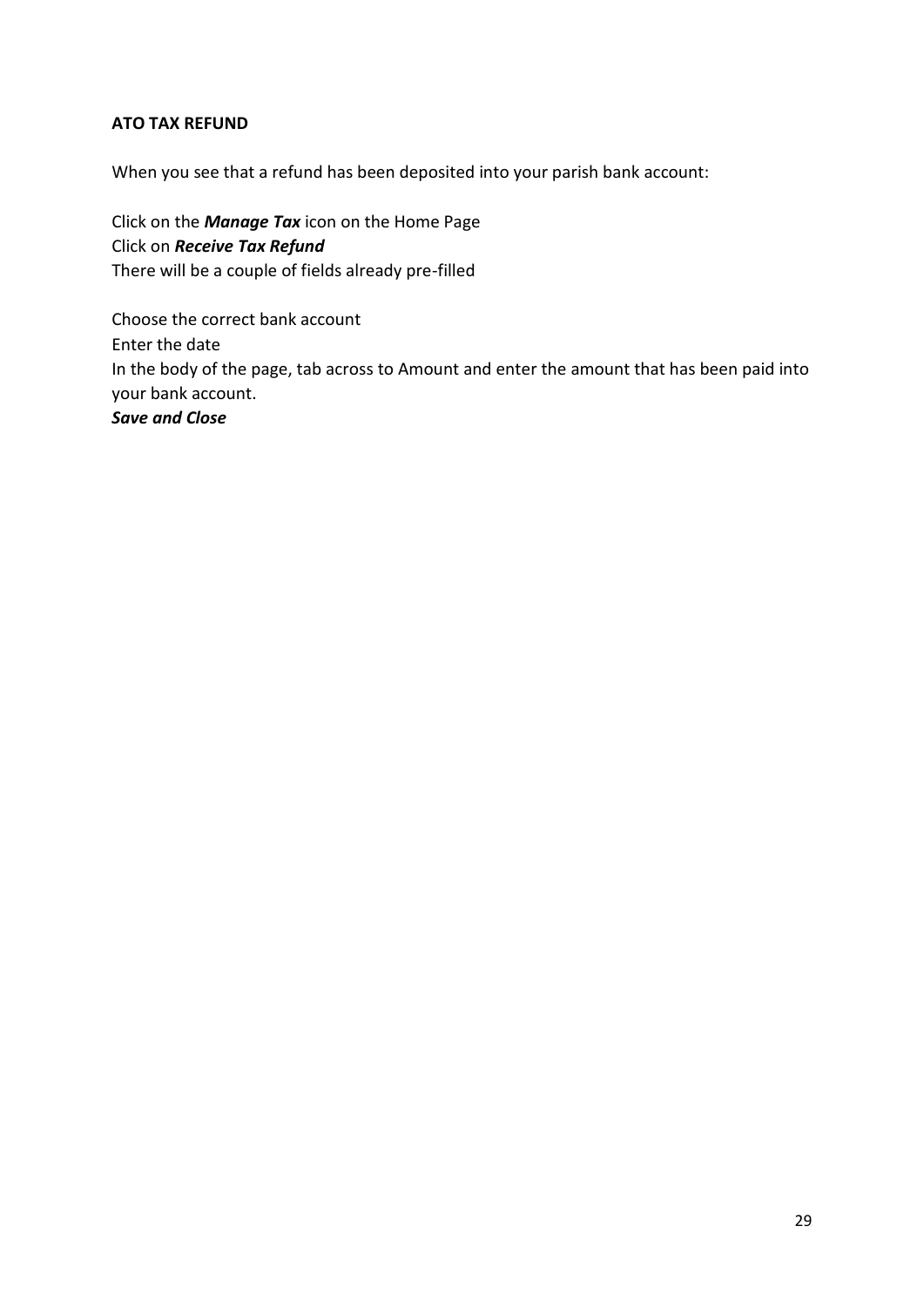## **ATO TAX REFUND**

When you see that a refund has been deposited into your parish bank account:

Click on the *Manage Tax* icon on the Home Page Click on *Receive Tax Refund* There will be a couple of fields already pre-filled

Choose the correct bank account Enter the date In the body of the page, tab across to Amount and enter the amount that has been paid into your bank account. *Save and Close*